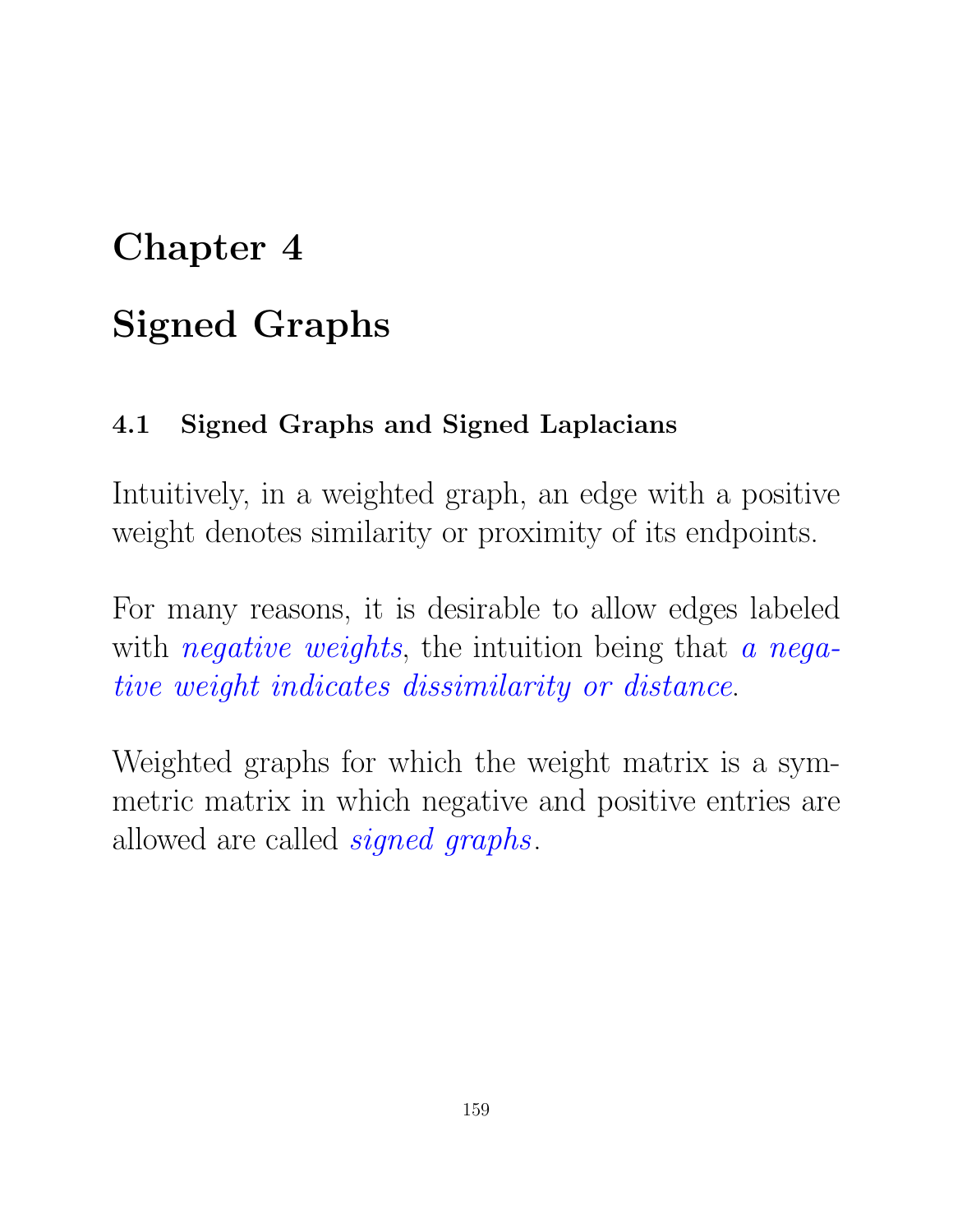## Chapter 4

# Signed Graphs

## 4.1 Signed Graphs and Signed Laplacians

Intuitively, in a weighted graph, an edge with a positive weight denotes similarity or proximity of its endpoints.

For many reasons, it is desirable to allow edges labeled with *negative weights*, the intuition being that *a negative weight indicates dissimilarity or distance*.

Weighted graphs for which the weight matrix is a symmetric matrix in which negative and positive entries are allowed are called *signed graphs*.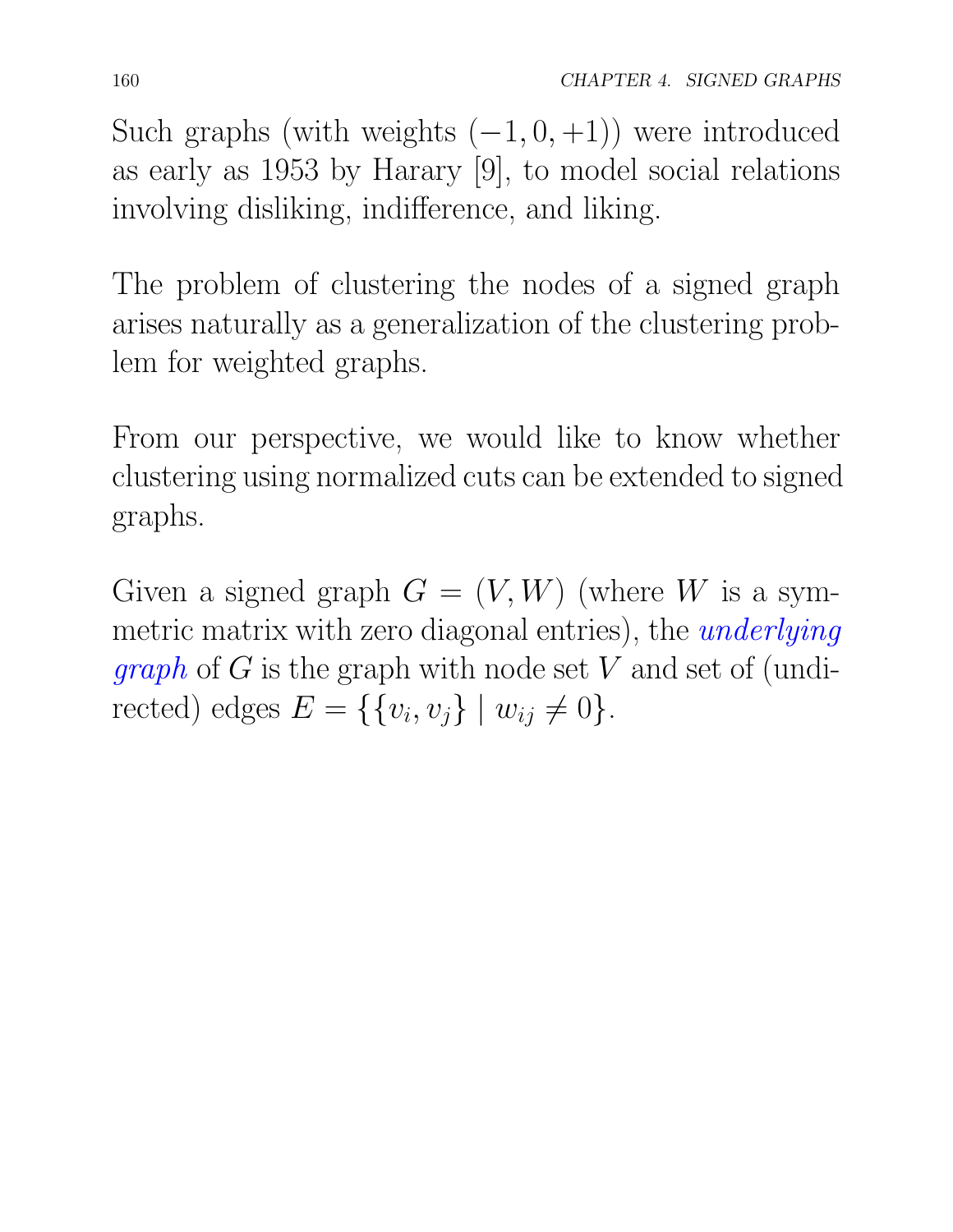Such graphs (with weights  $(-1, 0, +1)$ ) were introduced as early as 1953 by Harary [9], to model social relations involving disliking, indifference, and liking.

The problem of clustering the nodes of a signed graph arises naturally as a generalization of the clustering problem for weighted graphs.

From our perspective, we would like to know whether clustering using normalized cuts can be extended to signed graphs.

Given a signed graph  $G = (V, W)$  (where *W* is a symmetric matrix with zero diagonal entries), the *underlying graph* of *G* is the graph with node set *V* and set of (undirected) edges  $E = \{ \{v_i, v_j\} \mid w_{ij} \neq 0 \}.$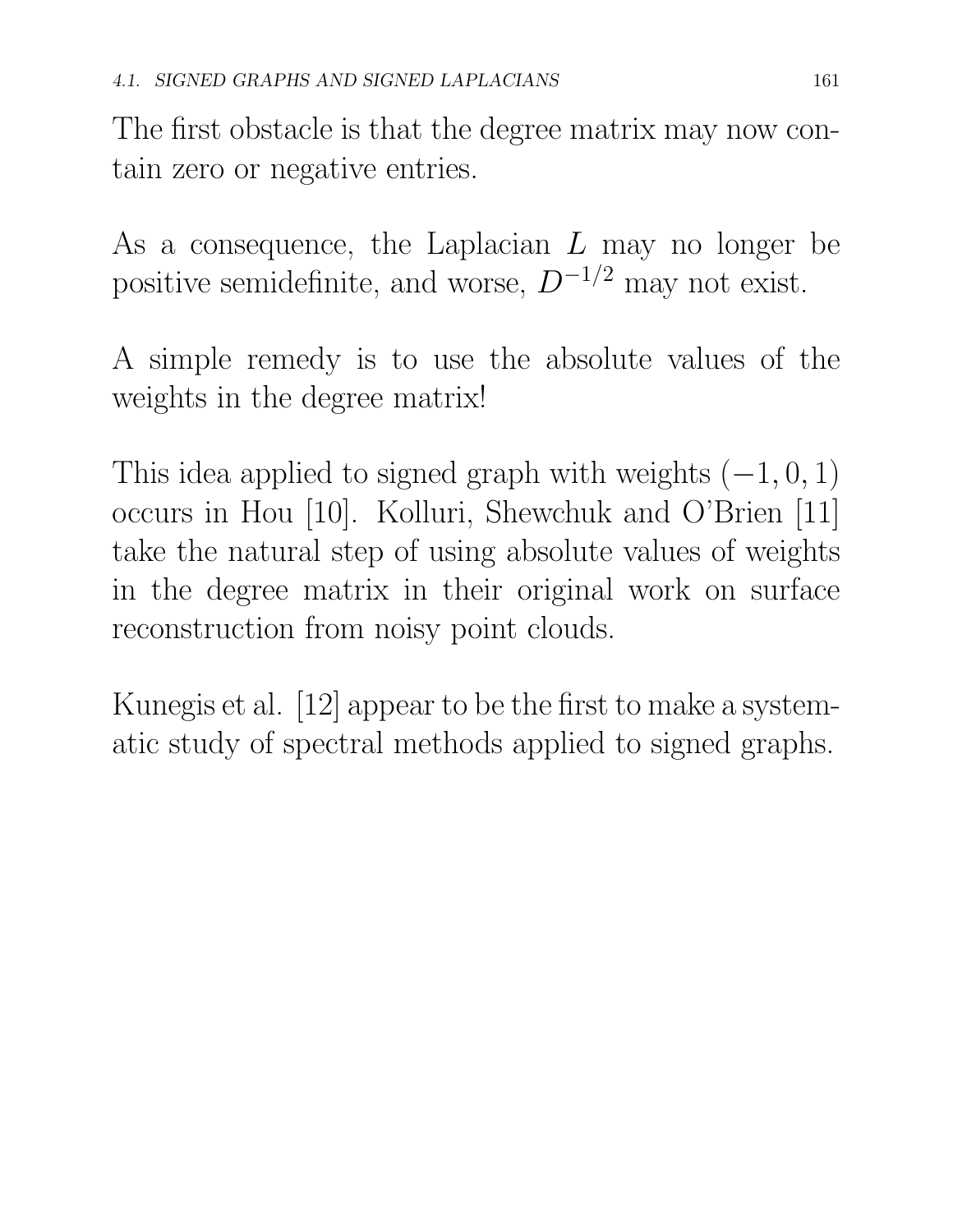The first obstacle is that the degree matrix may now contain zero or negative entries.

As a consequence, the Laplacian *L* may no longer be positive semidefinite, and worse,  $D^{-1/2}$  may not exist.

A simple remedy is to use the absolute values of the weights in the degree matrix!

This idea applied to signed graph with weights  $(-1, 0, 1)$ occurs in Hou [10]. Kolluri, Shewchuk and O'Brien [11] take the natural step of using absolute values of weights in the degree matrix in their original work on surface reconstruction from noisy point clouds.

Kunegis et al. [12] appear to be the first to make a systematic study of spectral methods applied to signed graphs.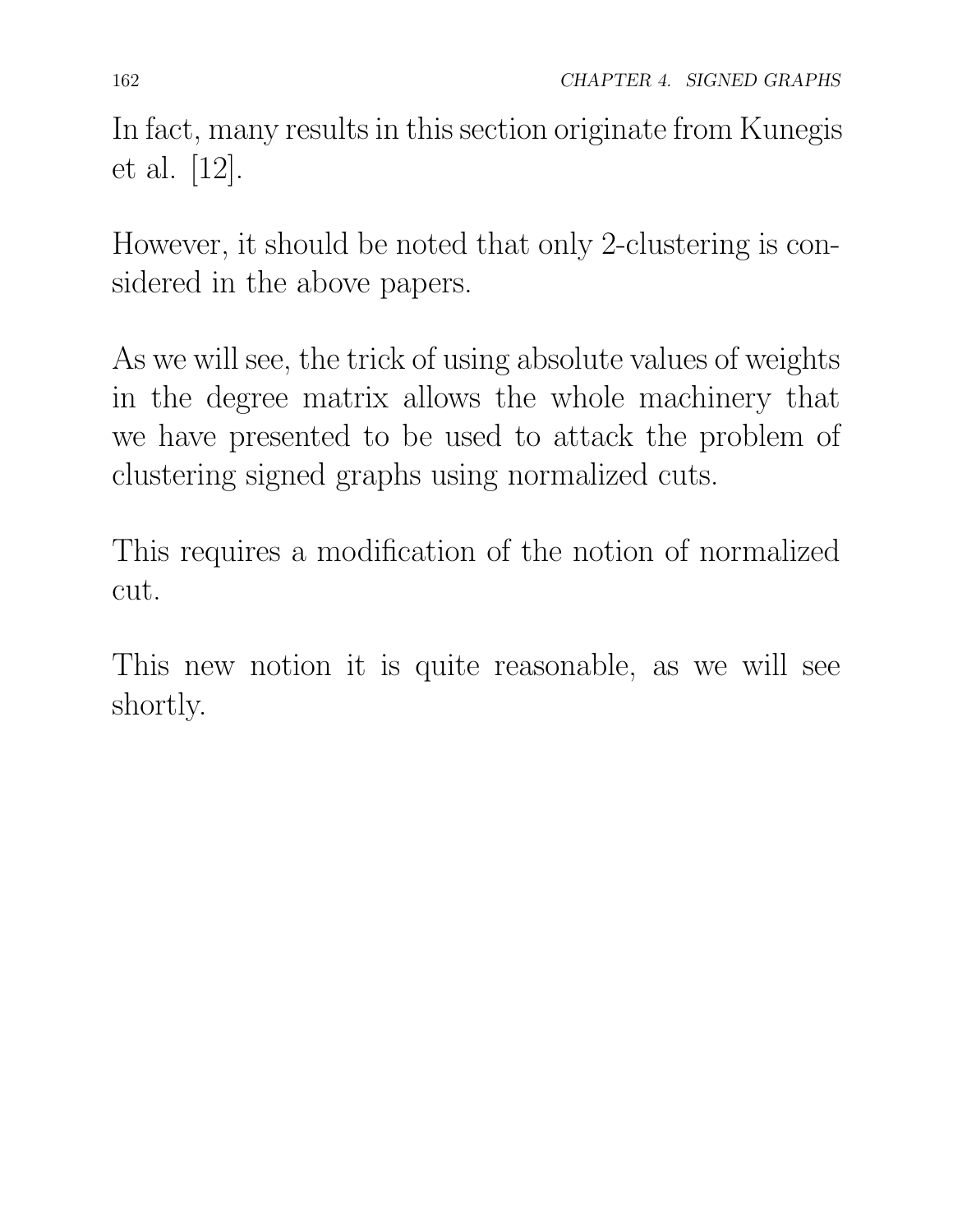In fact, many results in this section originate from Kunegis et al. [12].

However, it should be noted that only 2-clustering is considered in the above papers.

As we will see, the trick of using absolute values of weights in the degree matrix allows the whole machinery that we have presented to be used to attack the problem of clustering signed graphs using normalized cuts.

This requires a modification of the notion of normalized cut.

This new notion it is quite reasonable, as we will see shortly.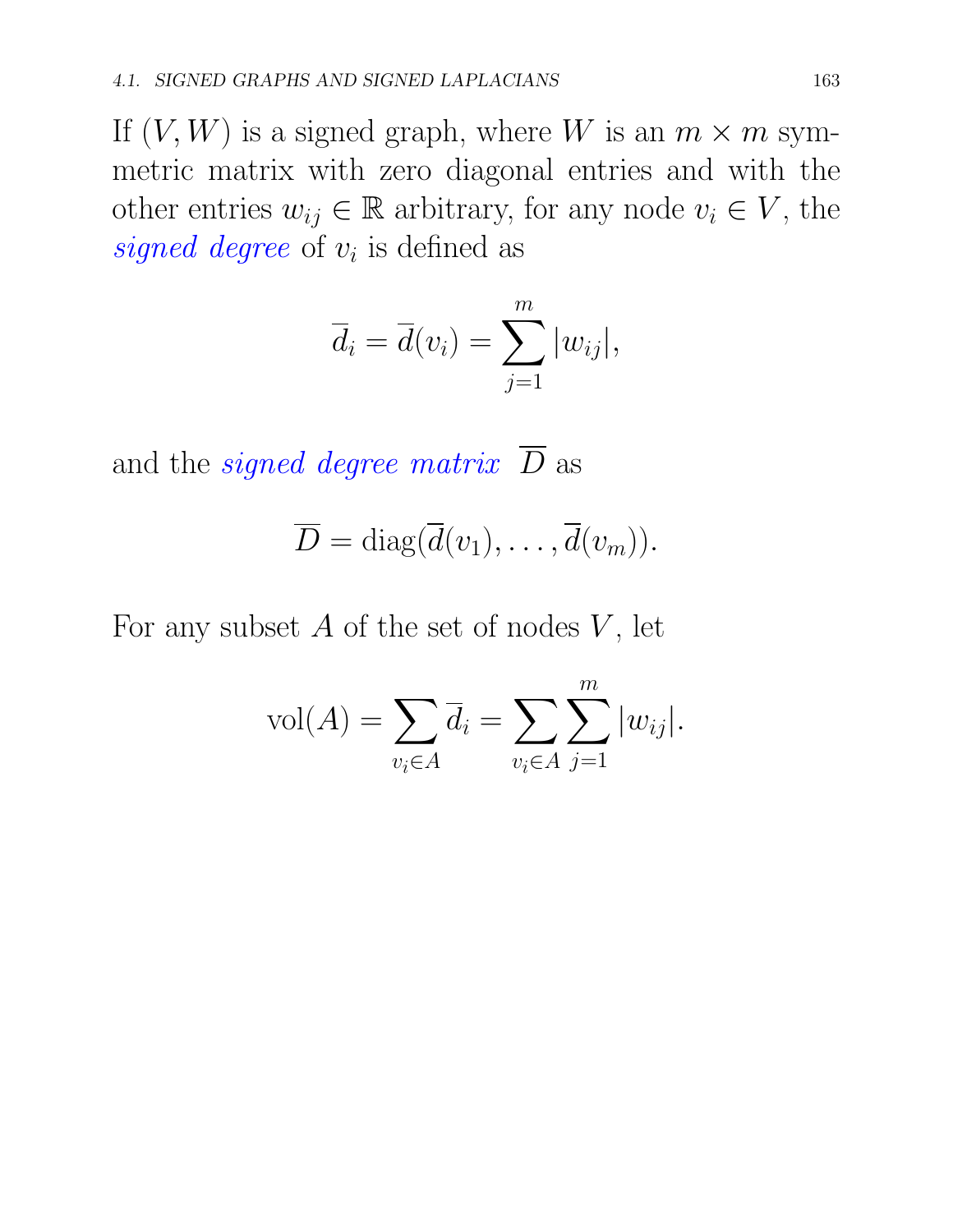If  $(V, W)$  is a signed graph, where W is an  $m \times m$  symmetric matrix with zero diagonal entries and with the other entries  $w_{ij} \in \mathbb{R}$  arbitrary, for any node  $v_i \in V$ , the *signed degree* of  $v_i$  is defined as

$$
\overline{d}_i = \overline{d}(v_i) = \sum_{j=1}^m |w_{ij}|,
$$

and the *signed degree matrix*  $\overline{D}$  as

$$
\overline{D} = \text{diag}(\overline{d}(v_1), \ldots, \overline{d}(v_m)).
$$

For any subset  $A$  of the set of nodes  $V$ , let

$$
vol(A) = \sum_{v_i \in A} \overline{d}_i = \sum_{v_i \in A} \sum_{j=1}^m |w_{ij}|.
$$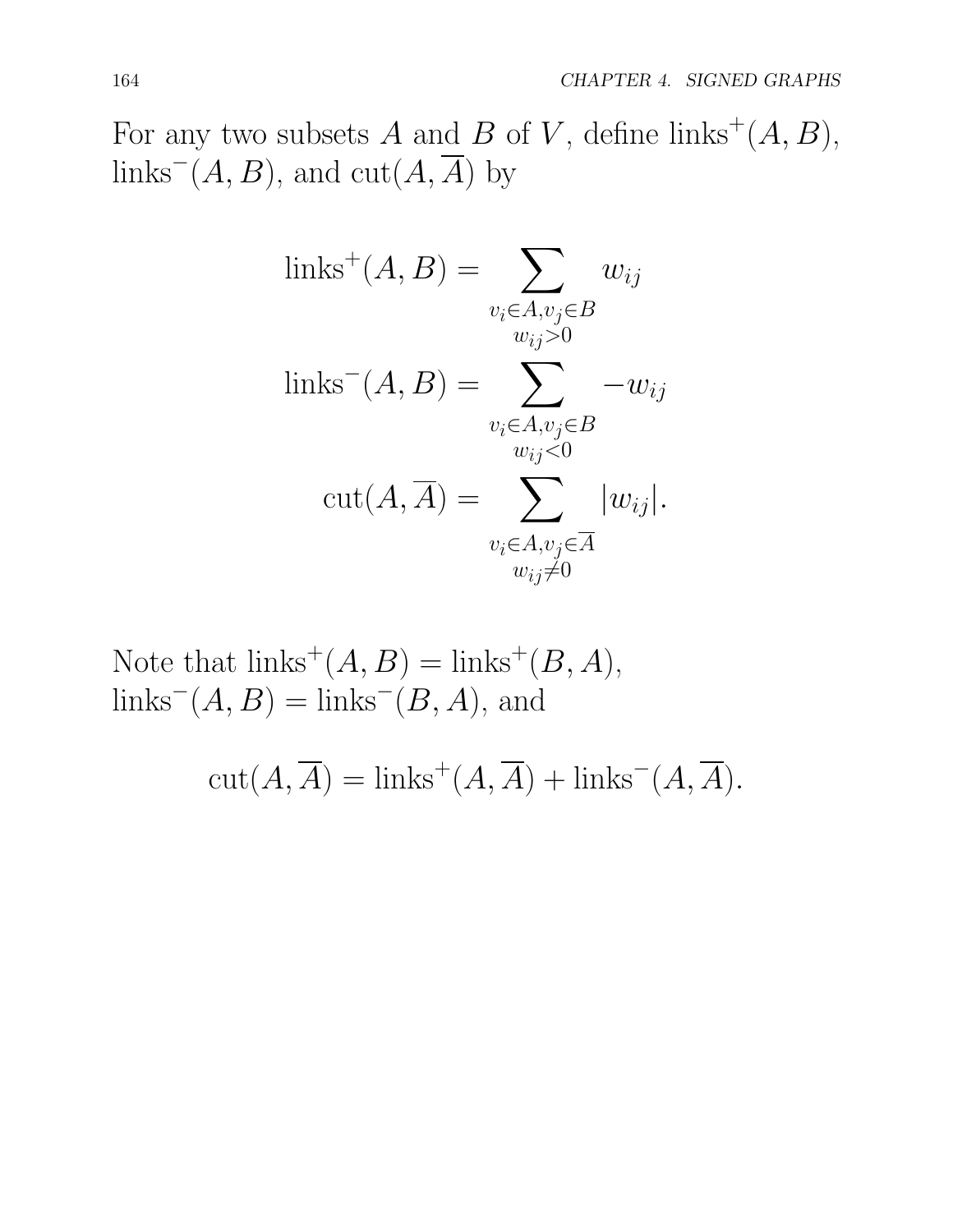For any two subsets *A* and *B* of *V*, define links<sup>+</sup> $(A, B)$ , links<sup> $-$ </sup>(*A, B*), and cut(*A,*  $\overline{A}$ ) by

links<sup>+</sup>
$$
(A, B)
$$
 = 
$$
\sum_{\substack{v_i \in A, v_j \in B \\ w_{ij} > 0}} w_{ij}
$$
links<sup>-</sup> $(A, B)$  = 
$$
\sum_{\substack{v_i \in A, v_j \in B \\ w_{ij} < 0}} -w_{ij}
$$
cut $(A, \overline{A})$  = 
$$
\sum_{\substack{v_i \in A, v_j \in \overline{A} \\ w_{ij} \neq 0}} |w_{ij}|.
$$

Note that  $\text{links}^+(A, B) = \text{links}^+(B, A),$  $\text{links}^-(A, B) = \text{links}^-(B, A)$ , and

$$
cut(A, \overline{A}) = \text{links}^+(A, \overline{A}) + \text{links}^-(A, \overline{A}).
$$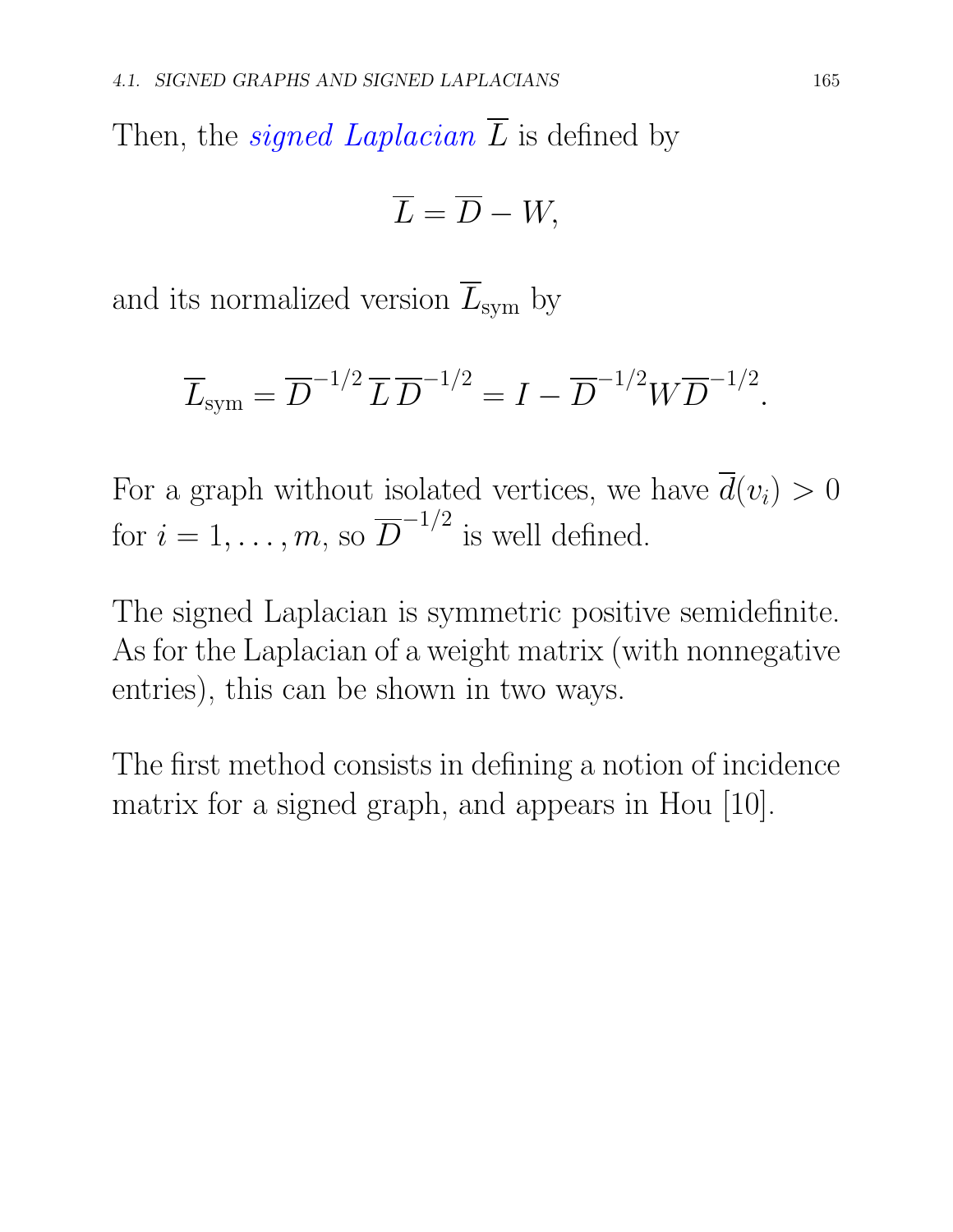Then, the *signed Laplacian*  $\overline{L}$  is defined by

$$
\overline{L}=\overline{D}-W,
$$

and its normalized version  $\overline{L}_{sym}$  by

$$
\overline{L}_{sym} = \overline{D}^{-1/2} \, \overline{L} \, \overline{D}^{-1/2} = I - \overline{D}^{-1/2} W \overline{D}^{-1/2}
$$

For a graph without isolated vertices, we have  $\overline{d}(v_i) > 0$ for  $i = 1, \ldots, m$ , so  $\overline{D}^{-1/2}$  is well defined.

The signed Laplacian is symmetric positive semidefinite. As for the Laplacian of a weight matrix (with nonnegative entries), this can be shown in two ways.

The first method consists in defining a notion of incidence matrix for a signed graph, and appears in Hou [10].

*.*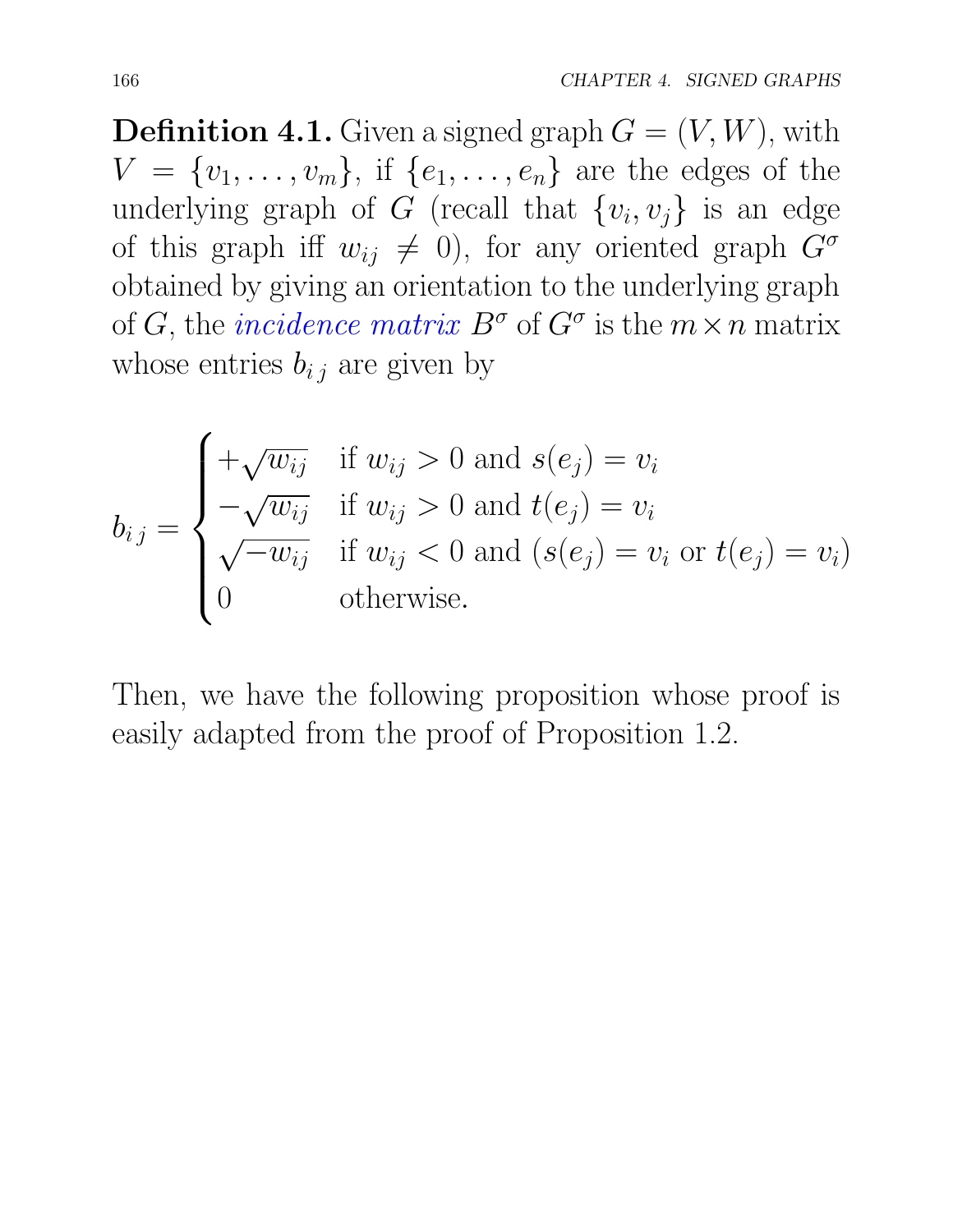**Definition 4.1.** Given a signed graph  $G = (V, W)$ , with  $V = \{v_1, \ldots, v_m\}$ , if  $\{e_1, \ldots, e_n\}$  are the edges of the underlying graph of *G* (recall that  $\{v_i, v_j\}$  is an edge of this graph iff  $w_{ij} \neq 0$ , for any oriented graph  $G^{\sigma}$ obtained by giving an orientation to the underlying graph of *G*, the *incidence matrix*  $B^{\sigma}$  of  $G^{\sigma}$  is the  $m \times n$  matrix whose entries  $b_{i,j}$  are given by

$$
b_{ij} = \begin{cases} +\sqrt{w_{ij}} & \text{if } w_{ij} > 0 \text{ and } s(e_j) = v_i \\ -\sqrt{w_{ij}} & \text{if } w_{ij} > 0 \text{ and } t(e_j) = v_i \\ \sqrt{-w_{ij}} & \text{if } w_{ij} < 0 \text{ and } (s(e_j) = v_i \text{ or } t(e_j) = v_i) \\ 0 & \text{otherwise.} \end{cases}
$$

Then, we have the following proposition whose proof is easily adapted from the proof of Proposition 1.2.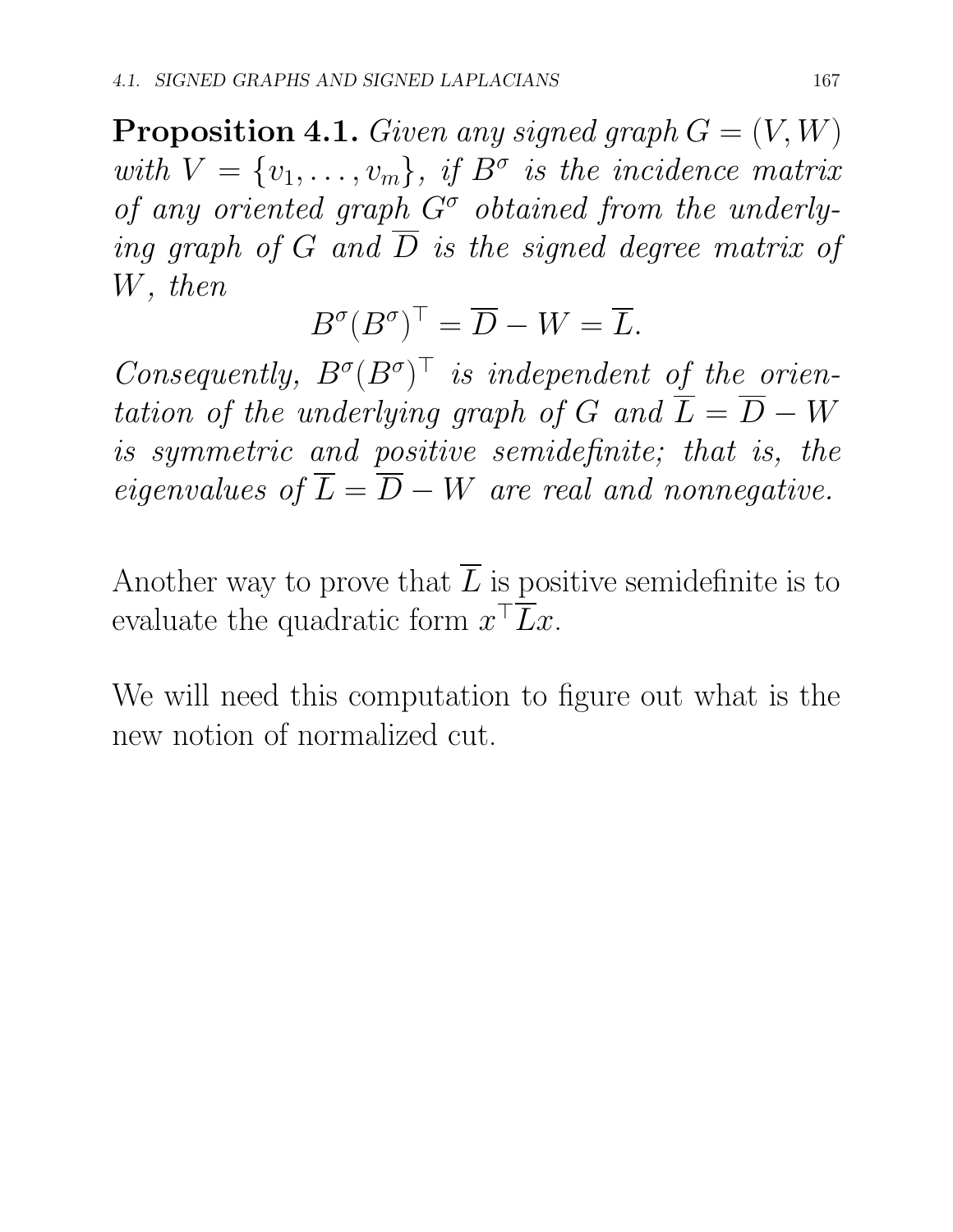**Proposition 4.1.** *Given any signed graph*  $G = (V, W)$ *with*  $V = \{v_1, \ldots, v_m\}$ *, if*  $B^{\sigma}$  *is the incidence matrix* of any oriented graph  $G^{\sigma}$  obtained from the underly*ing graph of*  $G$  *and*  $\overline{D}$  *is the signed degree matrix of W, then*

$$
B^{\sigma}(B^{\sigma})^{\top} = \overline{D} - W = \overline{L}.
$$

*Consequently,*  $B^{\sigma}(B^{\sigma})^{\top}$  *is independent of the orientation of the underlying graph of*  $G$  *and*  $\overline{L} = \overline{D} - W$ *is symmetric and positive semidefinite; that is, the eigenvalues of*  $\overline{L} = \overline{D} - W$  *are real and nonnegative.* 

Another way to prove that  $\overline{L}$  is positive semidefinite is to evaluate the quadratic form  $x^{\top} \overline{L} x$ .

We will need this computation to figure out what is the new notion of normalized cut.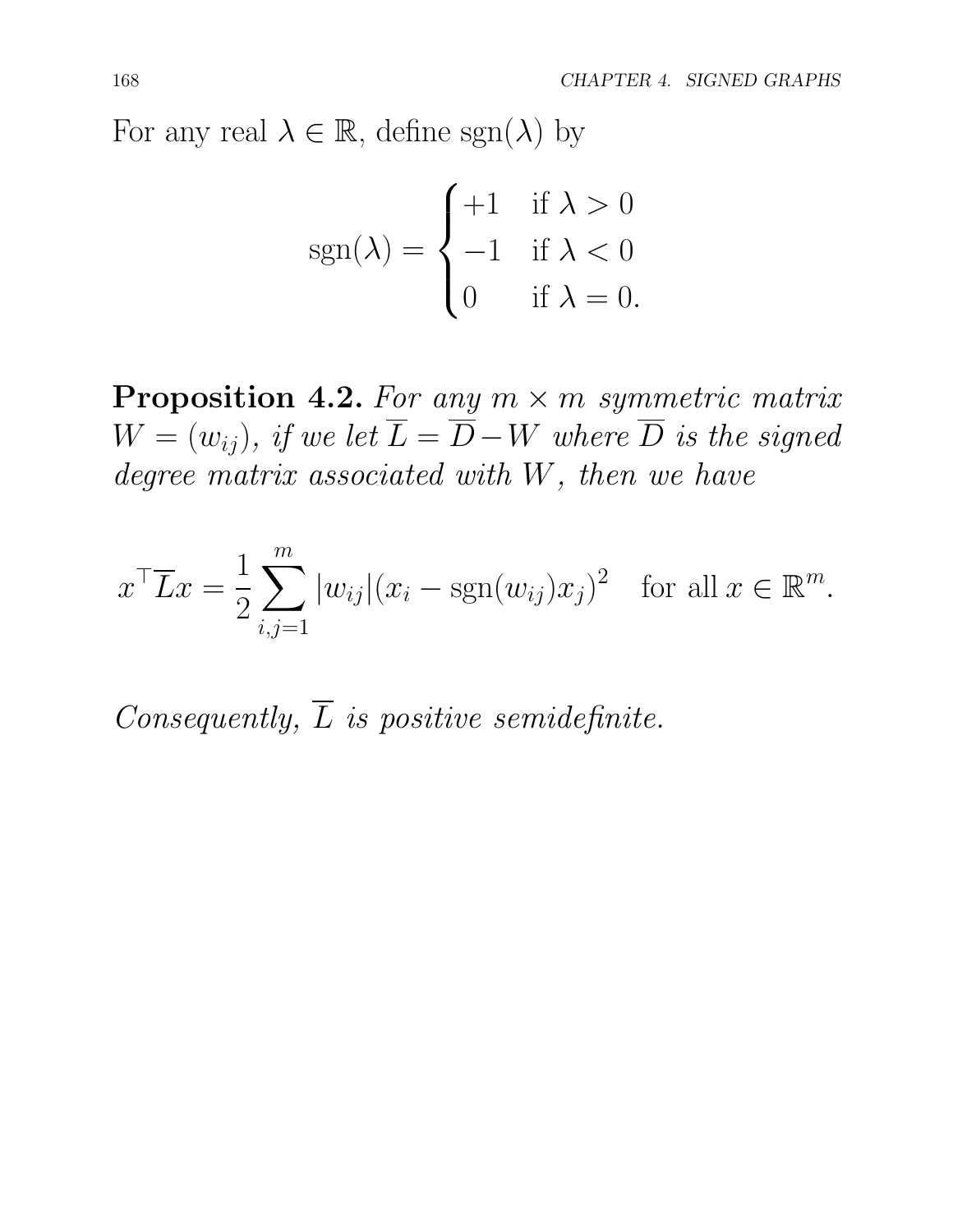For any real  $\lambda \in \mathbb{R}$ , define sgn( $\lambda$ ) by

$$
sgn(\lambda) = \begin{cases} +1 & \text{if } \lambda > 0 \\ -1 & \text{if } \lambda < 0 \\ 0 & \text{if } \lambda = 0. \end{cases}
$$

**Proposition 4.2.** For any  $m \times m$  symmetric matrix  $W = (w_{ij})$ *, if we let*  $\overline{L} = \overline{D} - W$  *where*  $\overline{D}$  *is the signed degree matrix associated with W, then we have*

$$
x^{\top} \overline{L} x = \frac{1}{2} \sum_{i,j=1}^{m} |w_{ij}| (x_i - \text{sgn}(w_{ij}) x_j)^2 \text{ for all } x \in \mathbb{R}^m.
$$

*Consequently, L is positive semidefinite.*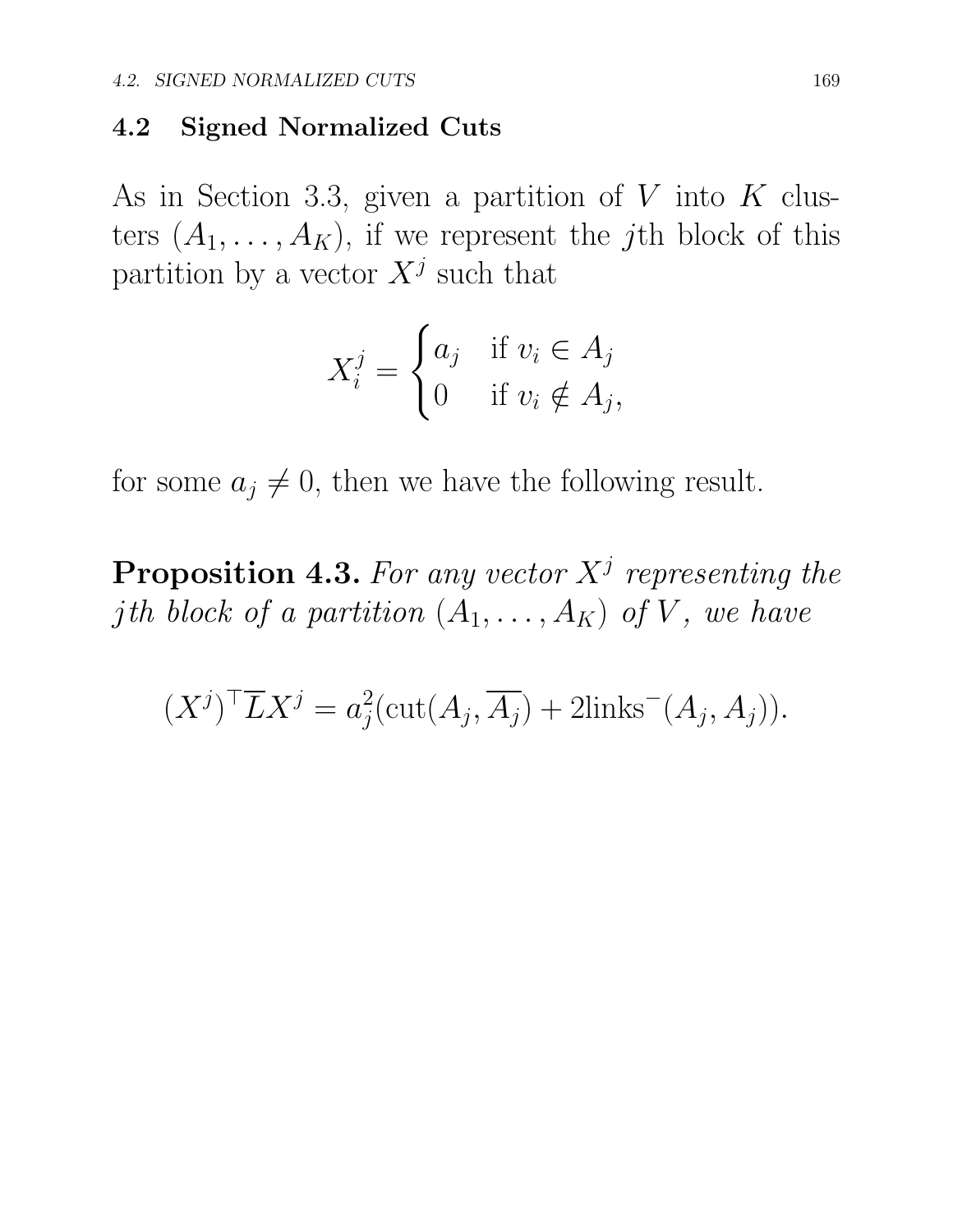#### 4.2 Signed Normalized Cuts

As in Section 3.3, given a partition of *V* into *K* clusters  $(A_1, \ldots, A_K)$ , if we represent the *j*th block of this partition by a vector  $X^j$  such that

$$
X_i^j = \begin{cases} a_j & \text{if } v_i \in A_j \\ 0 & \text{if } v_i \notin A_j, \end{cases}
$$

for some  $a_j \neq 0$ , then we have the following result.

Proposition 4.3. *For any vector X<sup>j</sup> representing the j*<sup>*th*</sup> *block of a partition*  $(A_1, \ldots, A_K)$  *of V, we have* 

$$
(X^j)^\top \overline{L} X^j = a_j^2(\text{cut}(A_j, \overline{A_j}) + 2\text{links}^-(A_j, A_j)).
$$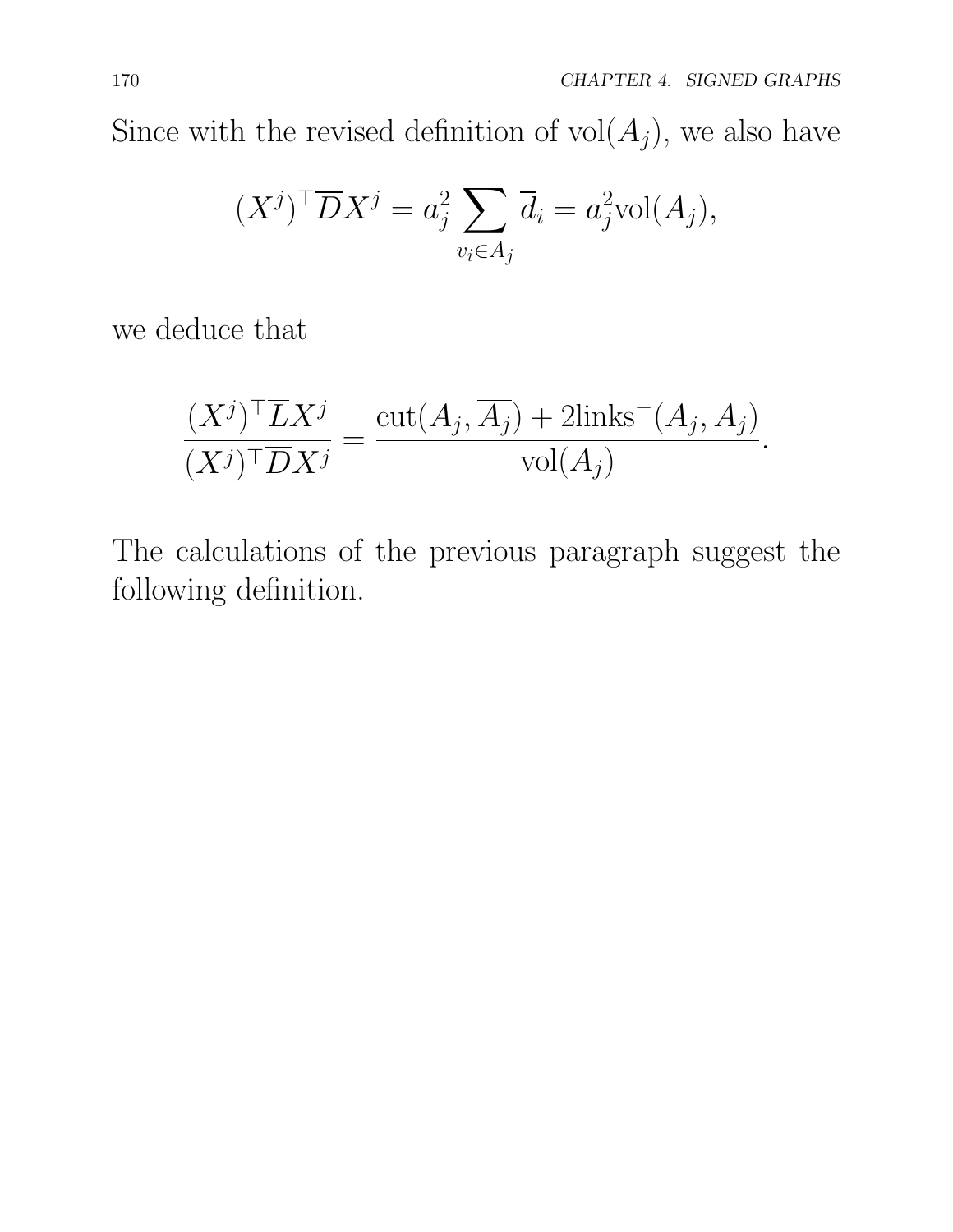Since with the revised definition of  $vol(A_j)$ , we also have

$$
(X^j)^\top \overline{D} X^j = a_j^2 \sum_{v_i \in A_j} \overline{d}_i = a_j^2 \text{vol}(A_j),
$$

we deduce that

$$
\frac{(X^j)^\top \overline{L} X^j}{(X^j)^\top \overline{D} X^j} = \frac{\text{cut}(A_j, \overline{A_j}) + 2 \text{links}^-(A_j, A_j)}{\text{vol}(A_j)}.
$$

The calculations of the previous paragraph suggest the following definition.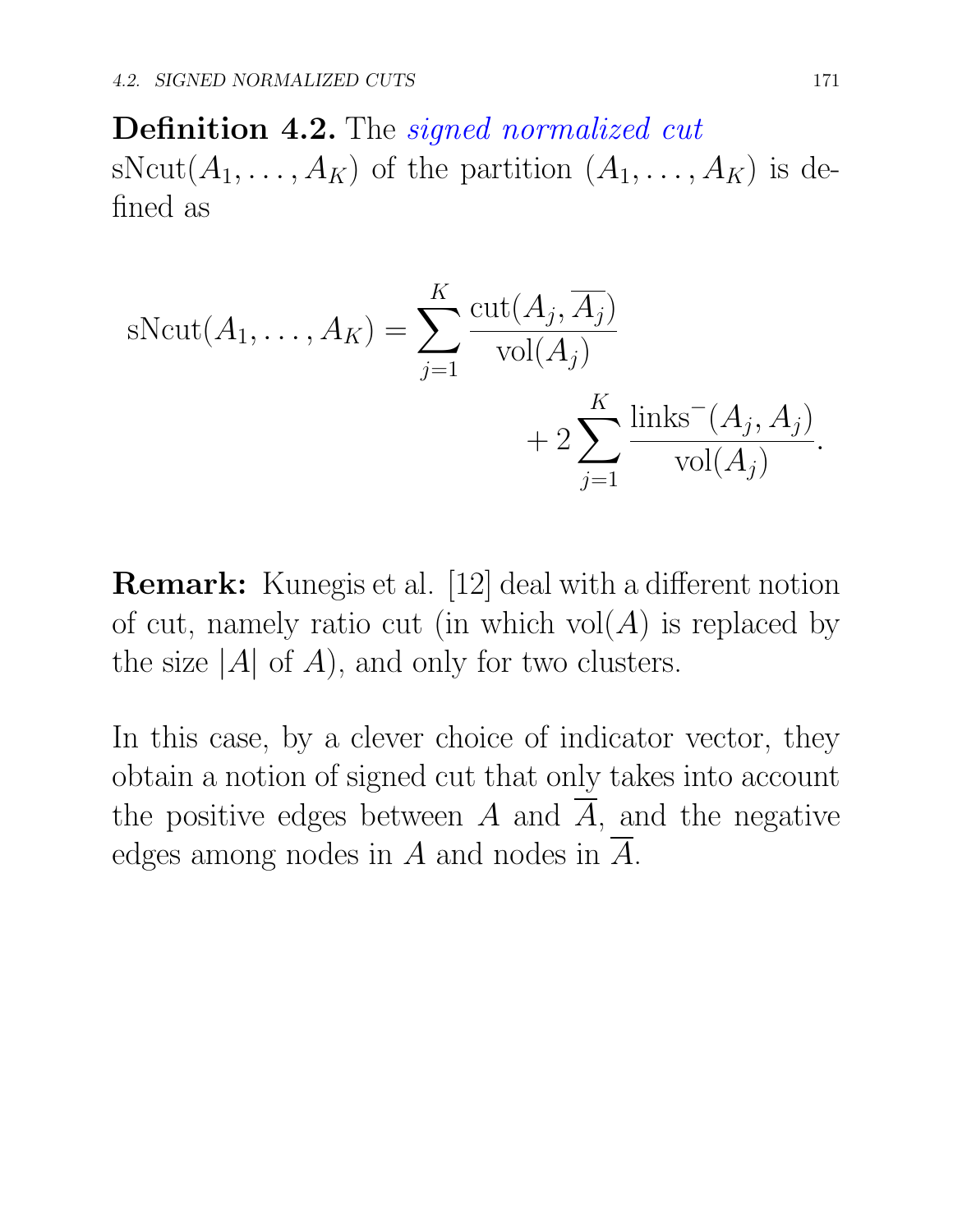Definition 4.2. The *signed normalized cut* sNcut $(A_1, \ldots, A_K)$  of the partition  $(A_1, \ldots, A_K)$  is defined as

sNcut
$$
(A_1, ..., A_K)
$$
 = 
$$
\sum_{j=1}^{K} \frac{\text{cut}(A_j, \overline{A_j})}{\text{vol}(A_j)} + 2 \sum_{j=1}^{K} \frac{\text{links}^-(A_j, A_j)}{\text{vol}(A_j)}.
$$

**Remark:** Kunegis et al. [12] deal with a different notion of cut, namely ratio cut (in which  $vol(A)$  is replaced by the size  $|A|$  of  $A$ , and only for two clusters.

In this case, by a clever choice of indicator vector, they obtain a notion of signed cut that only takes into account the positive edges between  $\overline{A}$  and  $\overline{A}$ , and the negative edges among nodes in *A* and nodes in *A*.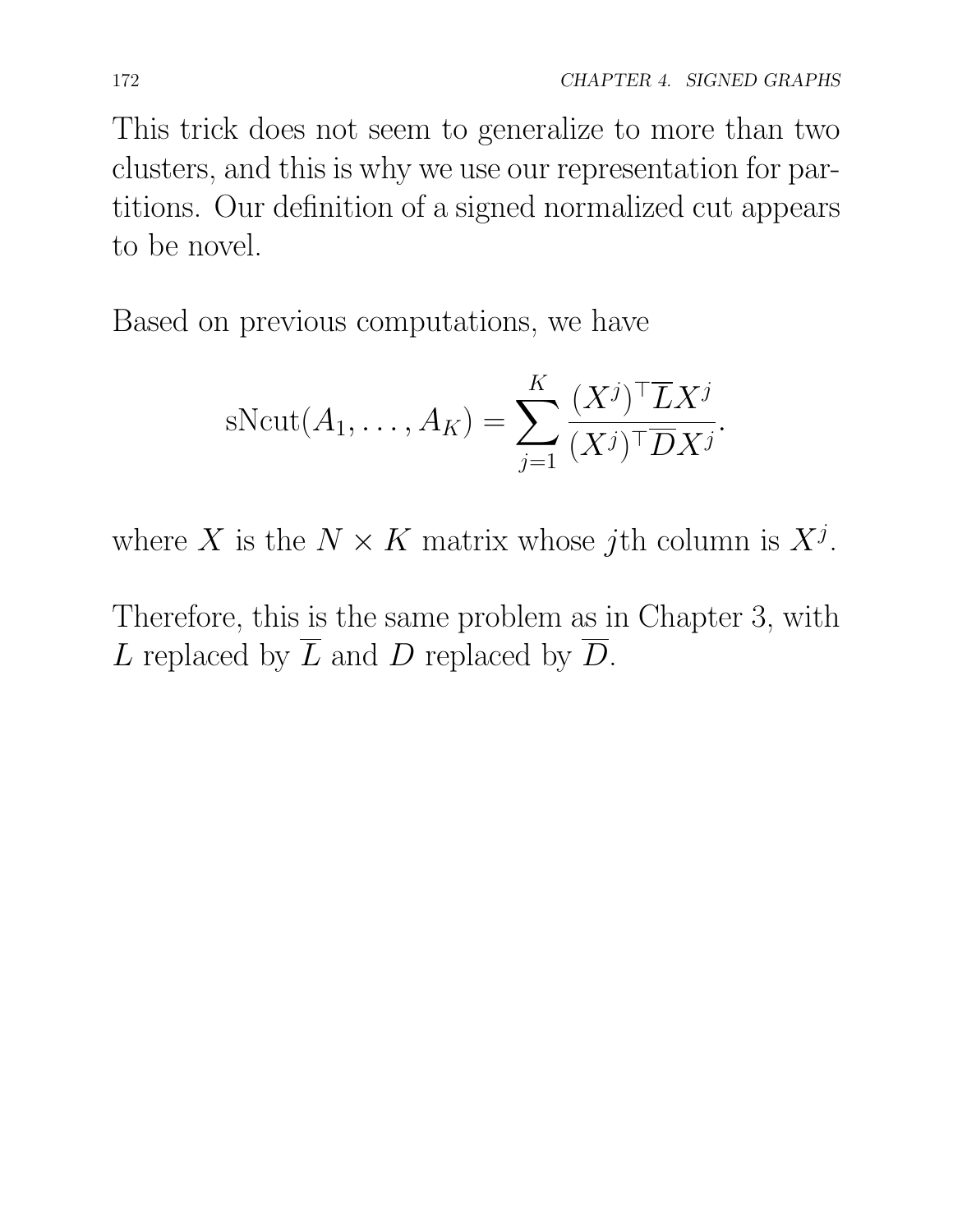This trick does not seem to generalize to more than two clusters, and this is why we use our representation for partitions. Our definition of a signed normalized cut appears to be novel.

Based on previous computations, we have

$$
s\text{Ncut}(A_1,\ldots,A_K) = \sum_{j=1}^K \frac{(X^j)^\top \overline{L} X^j}{(X^j)^\top \overline{D} X^j}.
$$

where *X* is the  $N \times K$  matrix whose *j*th column is  $X^j$ .

Therefore, this is the same problem as in Chapter 3, with *L* replaced by  $\overline{L}$  and *D* replaced by  $\overline{D}$ .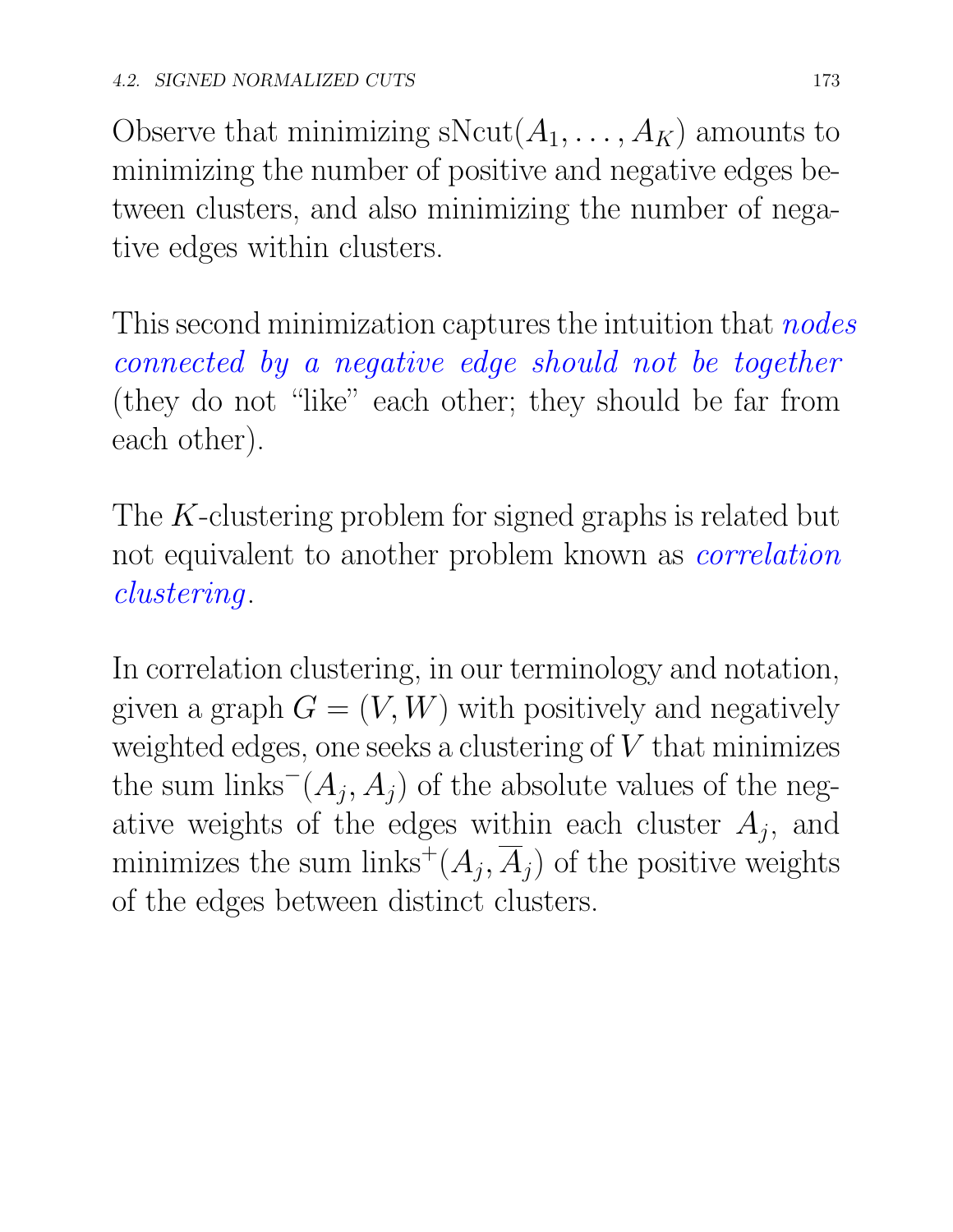Observe that minimizing  $sNcut(A_1, ..., A_K)$  amounts to minimizing the number of positive and negative edges between clusters, and also minimizing the number of negative edges within clusters.

This second minimization captures the intuition that *nodes connected by a negative edge should not be together* (they do not "like" each other; they should be far from each other).

The *K*-clustering problem for signed graphs is related but not equivalent to another problem known as *correlation clustering*.

In correlation clustering, in our terminology and notation, given a graph  $G = (V, W)$  with positively and negatively weighted edges, one seeks a clustering of *V* that minimizes the sum links<sup> $(A_j, A_j)$ </sup> of the absolute values of the negative weights of the edges within each cluster  $A_j$ , and minimizes the sum links<sup>+</sup>( $A_j$ ,  $\overline{A}_j$ ) of the positive weights of the edges between distinct clusters.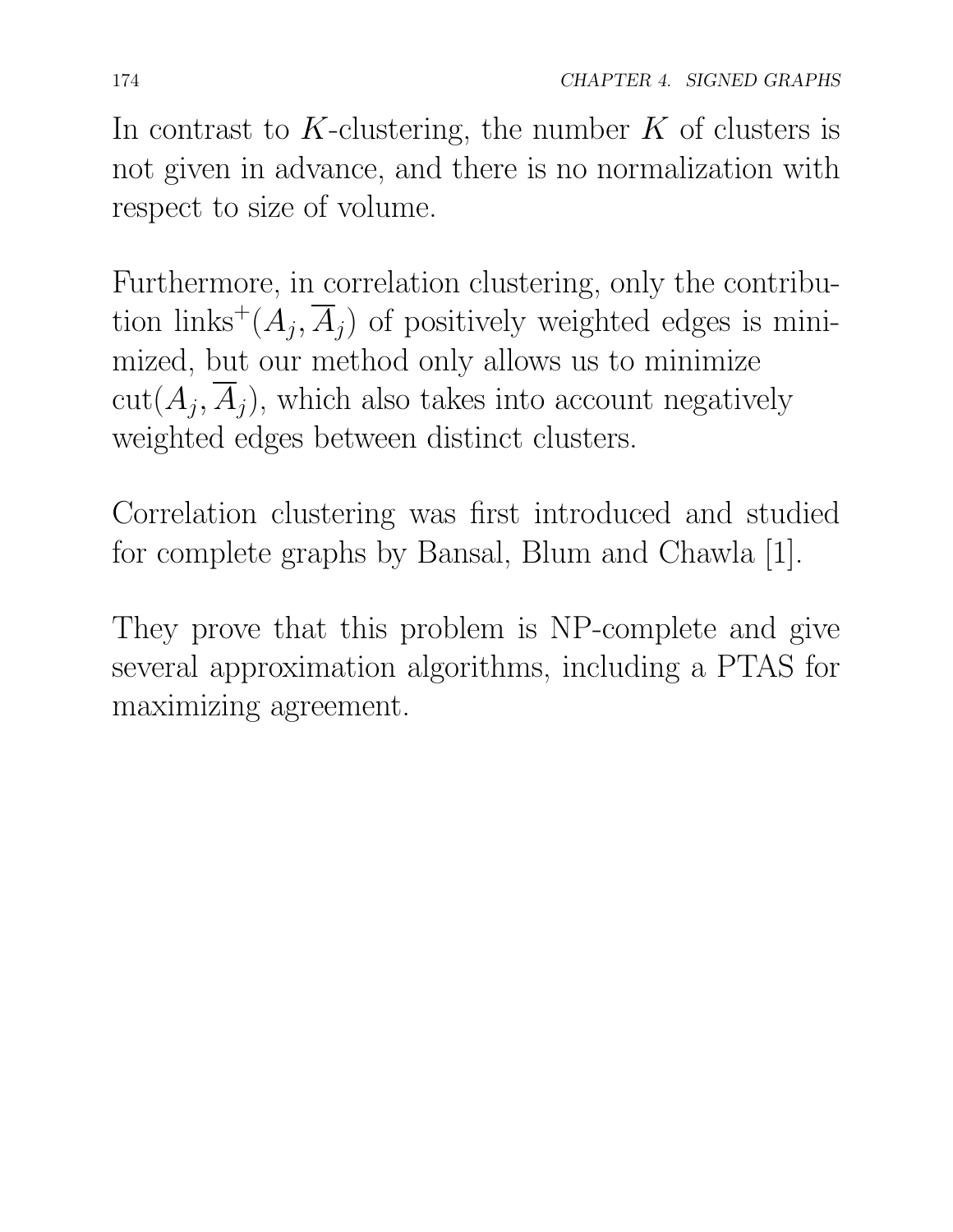In contrast to *K*-clustering, the number *K* of clusters is not given in advance, and there is no normalization with respect to size of volume.

Furthermore, in correlation clustering, only the contribution links<sup>+</sup> $(A_j, \overline{A}_j)$  of positively weighted edges is minimized, but our method only allows us to minimize  $cut(A_i, \overline{A}_i)$ , which also takes into account negatively weighted edges between distinct clusters.

Correlation clustering was first introduced and studied for complete graphs by Bansal, Blum and Chawla [1].

They prove that this problem is NP-complete and give several approximation algorithms, including a PTAS for maximizing agreement.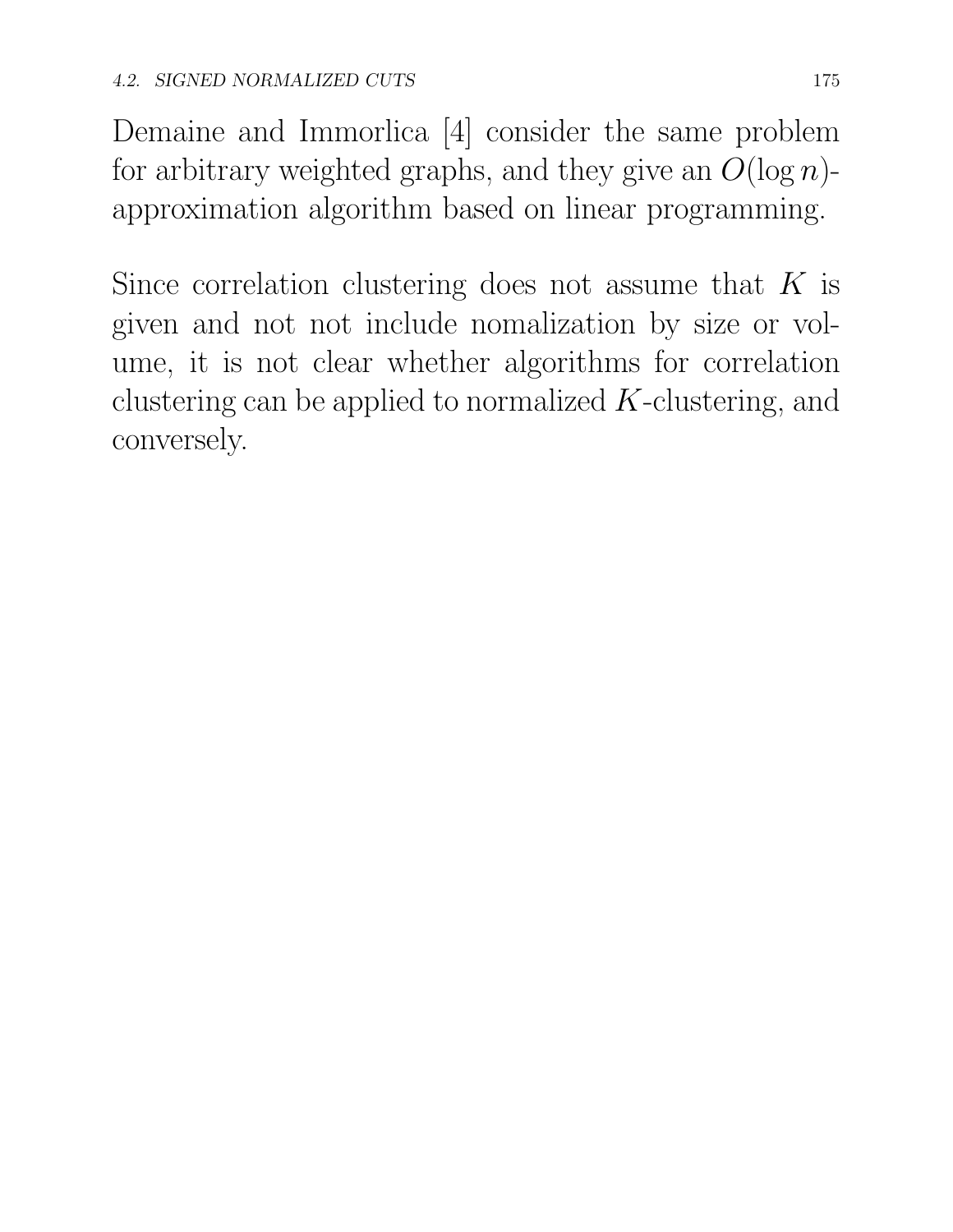Demaine and Immorlica [4] consider the same problem for arbitrary weighted graphs, and they give an  $O(\log n)$ approximation algorithm based on linear programming.

Since correlation clustering does not assume that *K* is given and not not include nomalization by size or volume, it is not clear whether algorithms for correlation clustering can be applied to normalized *K*-clustering, and conversely.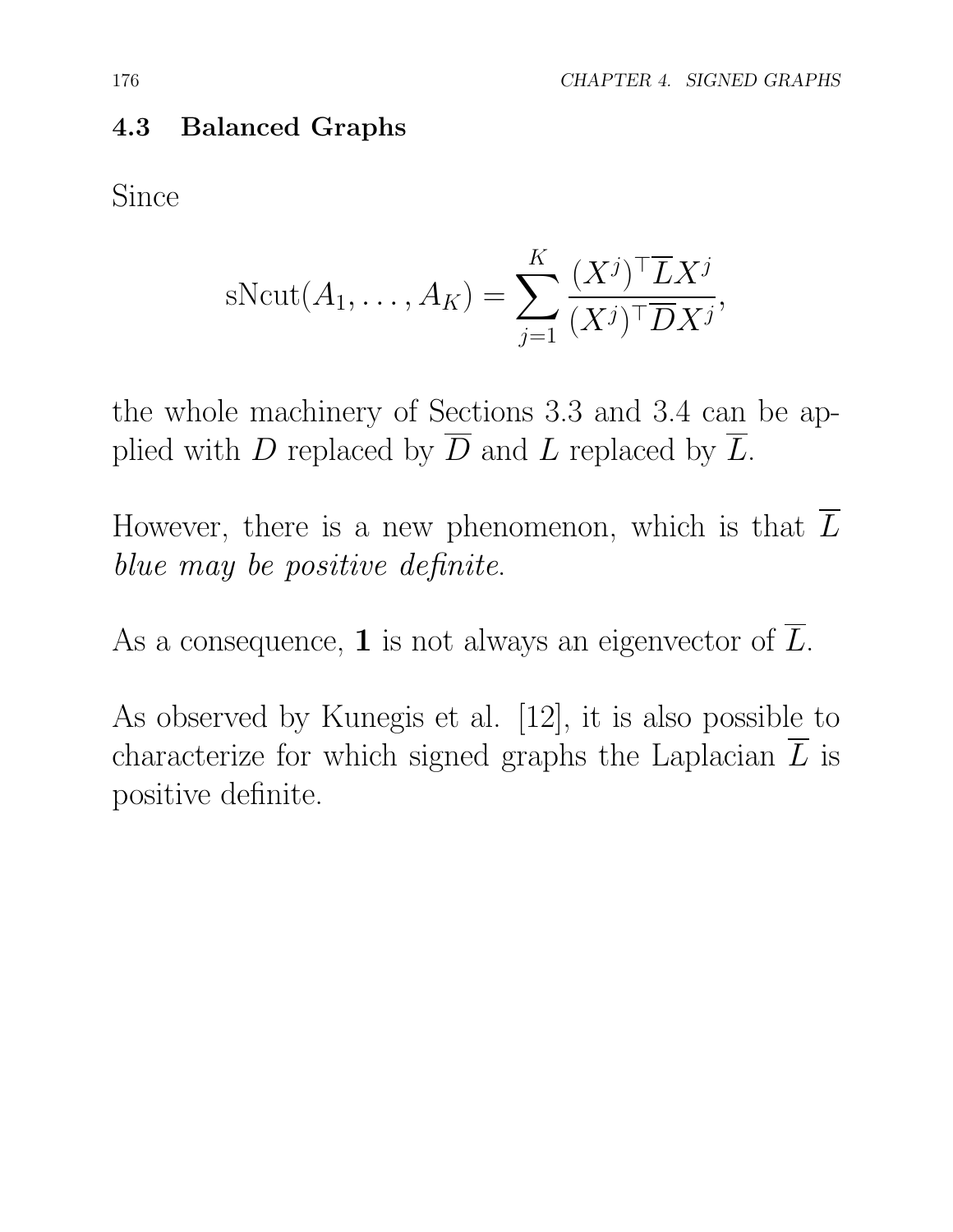#### 4.3 Balanced Graphs

Since

$$
s\text{Ncut}(A_1,\ldots,A_K) = \sum_{j=1}^K \frac{(X^j)^\top \overline{L} X^j}{(X^j)^\top \overline{D} X^j},
$$

the whole machinery of Sections 3.3 and 3.4 can be applied with *D* replaced by  $\overline{D}$  and *L* replaced by  $\overline{L}$ .

However, there is a new phenomenon, which is that  $\overline{L}$ *blue may be positive definite*.

As a consequence, **1** is not always an eigenvector of  $\overline{L}$ .

As observed by Kunegis et al. [12], it is also possible to characterize for which signed graphs the Laplacian  $\overline{L}$  is positive definite.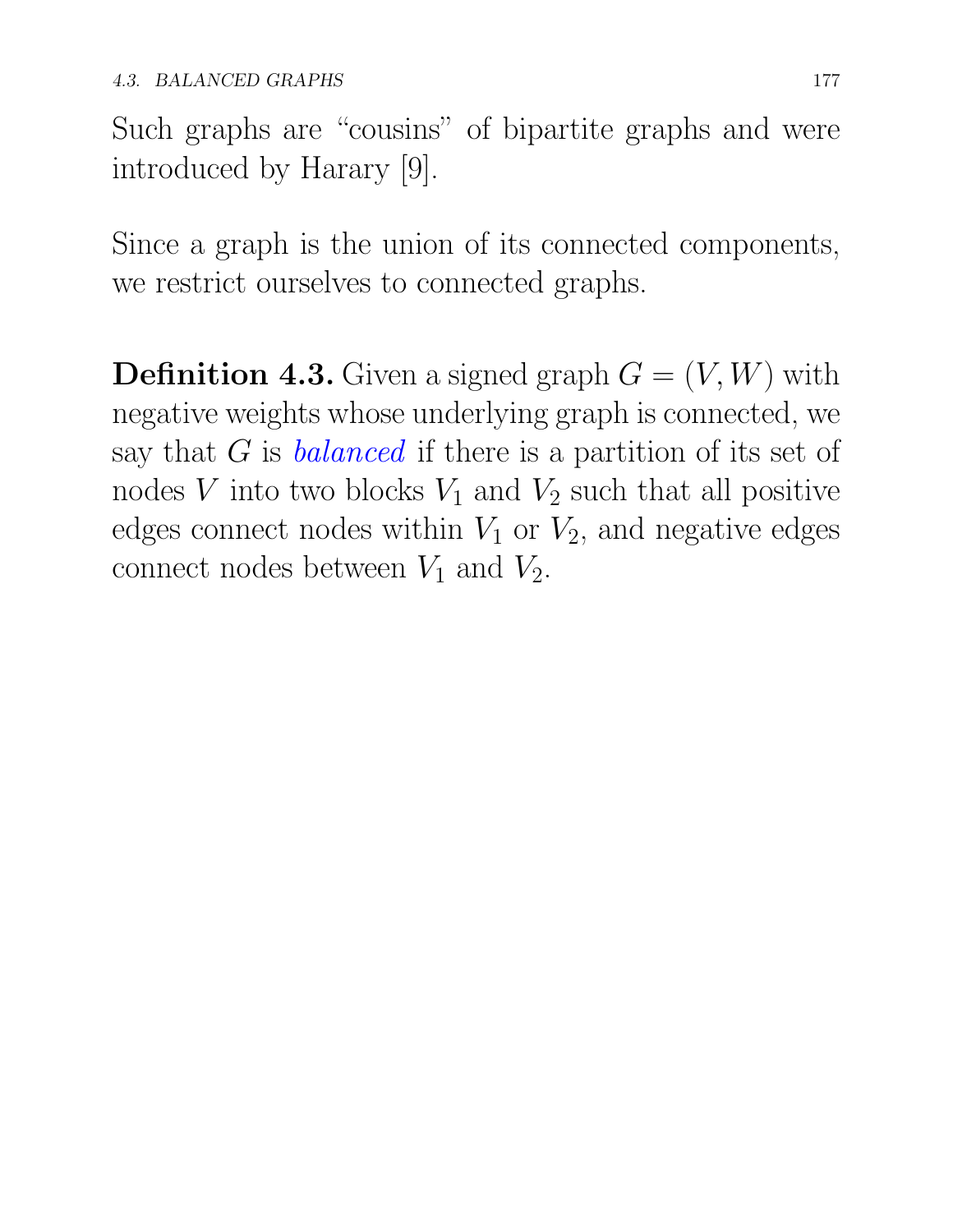Such graphs are "cousins" of bipartite graphs and were introduced by Harary [9].

Since a graph is the union of its connected components, we restrict ourselves to connected graphs.

**Definition 4.3.** Given a signed graph  $G = (V, W)$  with negative weights whose underlying graph is connected, we say that *G* is *balanced* if there is a partition of its set of nodes *V* into two blocks  $V_1$  and  $V_2$  such that all positive edges connect nodes within  $V_1$  or  $V_2$ , and negative edges connect nodes between  $V_1$  and  $V_2$ .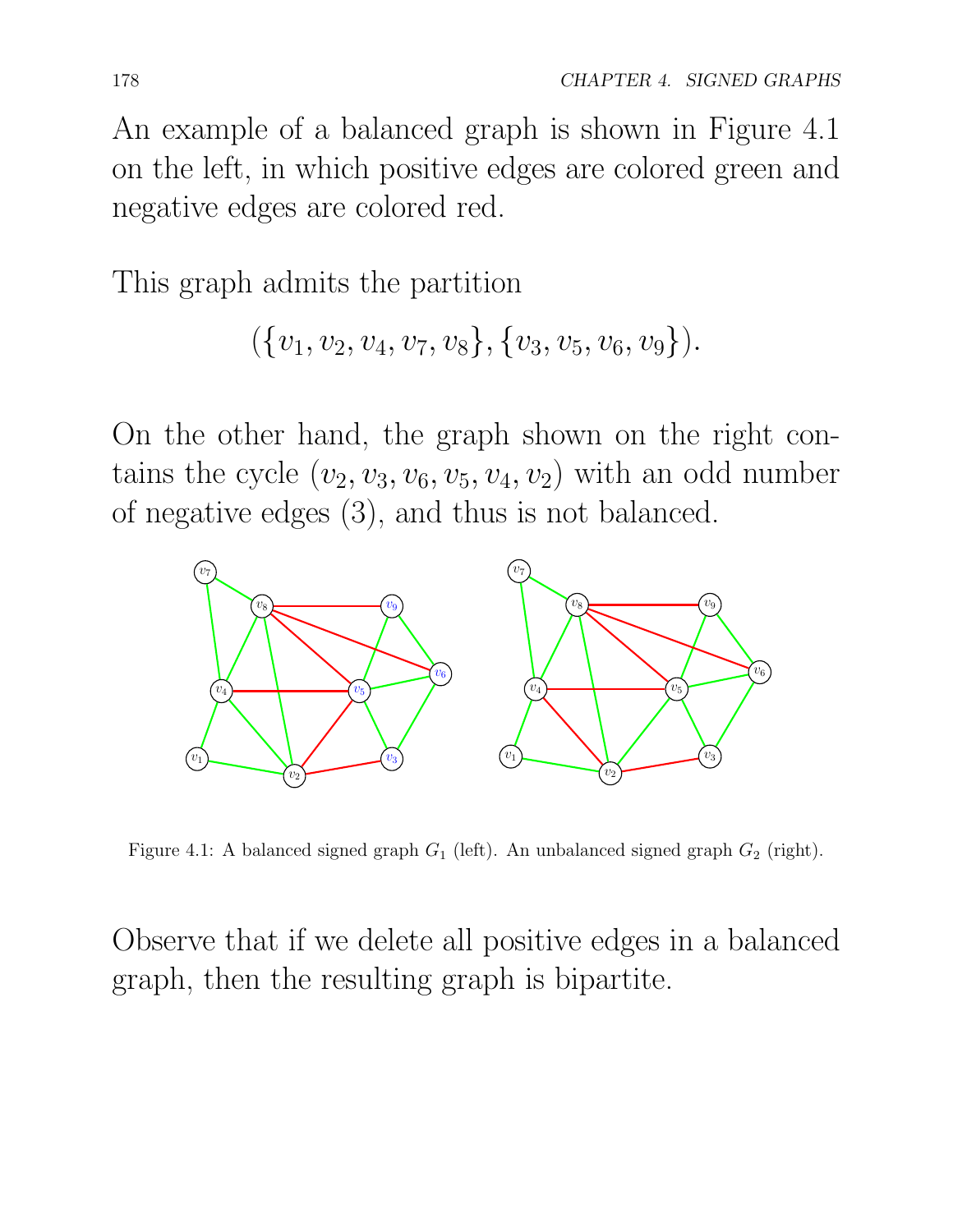An example of a balanced graph is shown in Figure 4.1 on the left, in which positive edges are colored green and negative edges are colored red.

This graph admits the partition

$$
(\{v_1,v_2,v_4,v_7,v_8\},\{v_3,v_5,v_6,v_9\}).
$$

On the other hand, the graph shown on the right contains the cycle  $(v_2, v_3, v_6, v_5, v_4, v_2)$  with an odd number of negative edges (3), and thus is not balanced.



Figure 4.1: A balanced signed graph *G*<sup>1</sup> (left). An unbalanced signed graph *G*<sup>2</sup> (right).

Observe that if we delete all positive edges in a balanced graph, then the resulting graph is bipartite.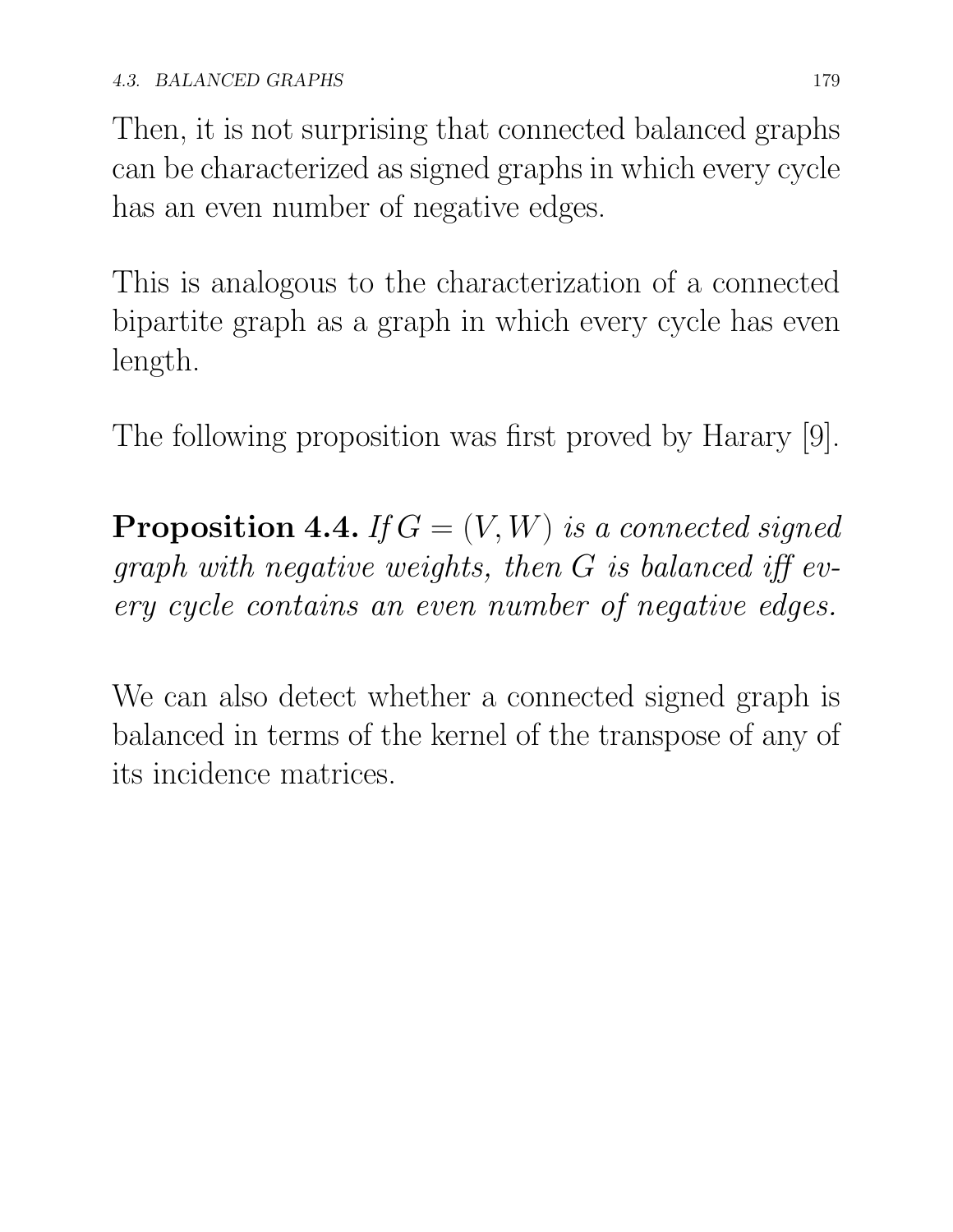Then, it is not surprising that connected balanced graphs can be characterized as signed graphs in which every cycle has an even number of negative edges.

This is analogous to the characterization of a connected bipartite graph as a graph in which every cycle has even length.

The following proposition was first proved by Harary [9].

**Proposition 4.4.** *If*  $G = (V, W)$  *is a connected signed*  $graph$  *with negative weights, then*  $G$  *is balanced iff every cycle contains an even number of negative edges.*

We can also detect whether a connected signed graph is balanced in terms of the kernel of the transpose of any of its incidence matrices.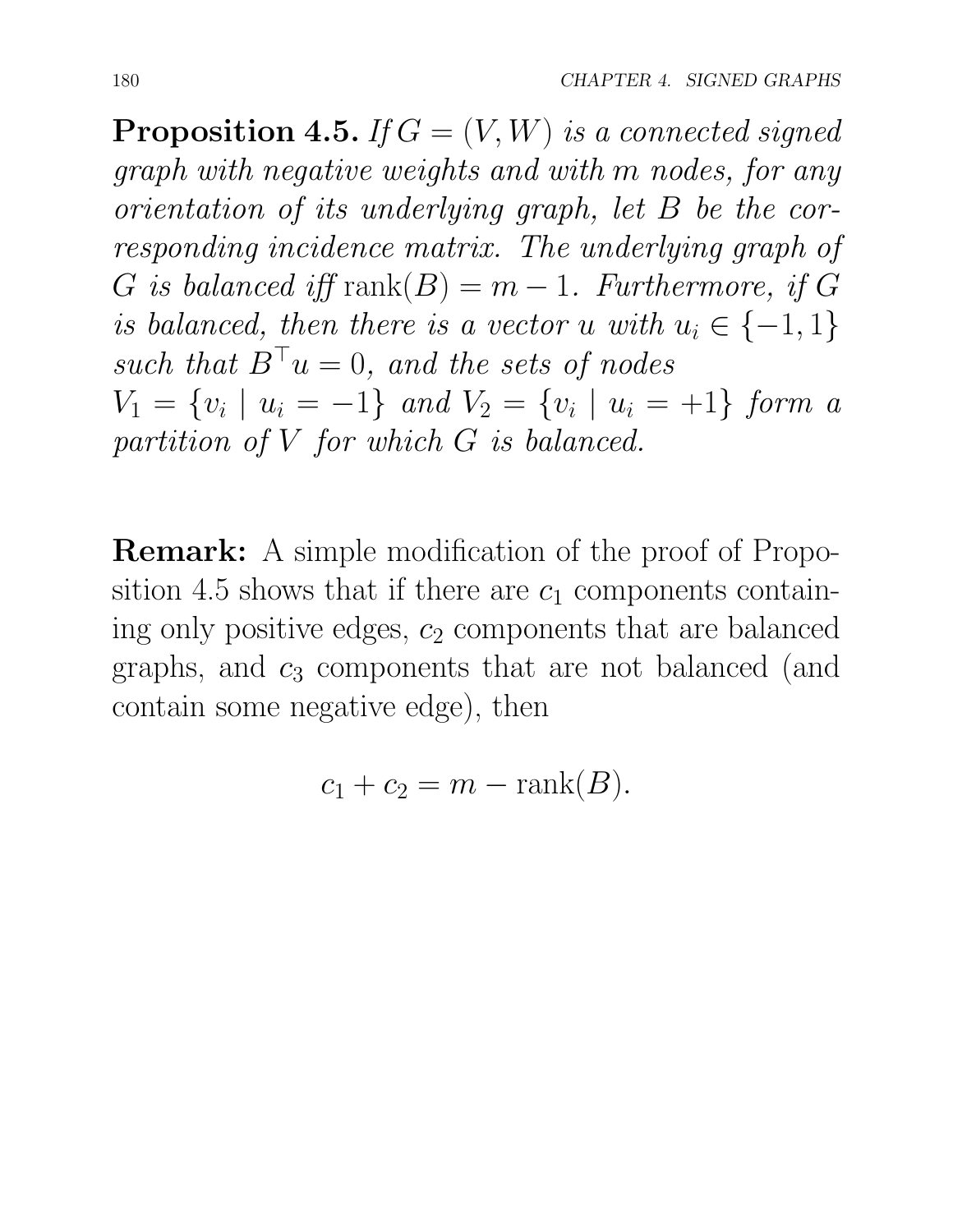**Proposition 4.5.** *If*  $G = (V, W)$  *is a connected signed graph with negative weights and with m nodes, for any orientation of its underlying graph, let B be the corresponding incidence matrix. The underlying graph of*  $G$  *is balanced iff* rank $(B) = m - 1$ *. Furthermore, if*  $G$ *is balanced, then there is a vector u with*  $u_i \in \{-1, 1\}$ *such that*  $B^{\top}u = 0$ *, and the sets of nodes*  $V_1 = \{v_i \mid u_i = -1\}$  *and*  $V_2 = \{v_i \mid u_i = +1\}$  *form a partition of V for which G is balanced.*

**Remark:** A simple modification of the proof of Proposition 4.5 shows that if there are  $c_1$  components containing only positive edges, *c*<sup>2</sup> components that are balanced graphs, and *c*<sup>3</sup> components that are not balanced (and contain some negative edge), then

$$
c_1 + c_2 = m - \operatorname{rank}(B).
$$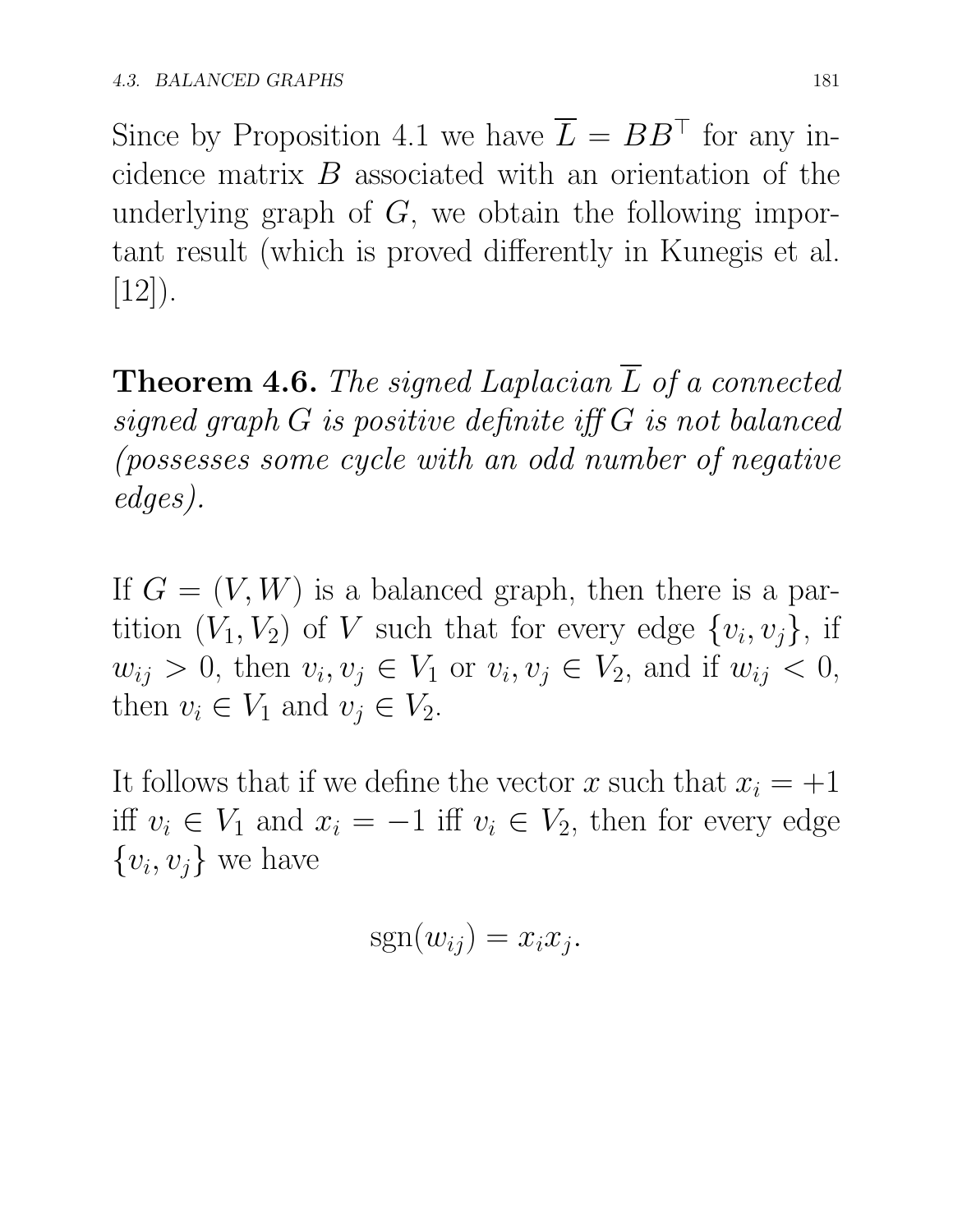Since by Proposition 4.1 we have  $\overline{L} = BB^{\top}$  for any incidence matrix *B* associated with an orientation of the underlying graph of *G*, we obtain the following important result (which is proved differently in Kunegis et al.  $[12]$ ).

Theorem 4.6. *The signed Laplacian L of a connected*  $signed graph G is positive definite iff G is not balanced$ *(possesses some cycle with an odd number of negative edges).*

If  $G = (V, W)$  is a balanced graph, then there is a partition  $(V_1, V_2)$  of *V* such that for every edge  $\{v_i, v_j\}$ , if  $w_{ij} > 0$ , then  $v_i, v_j \in V_1$  or  $v_i, v_j \in V_2$ , and if  $w_{ij} < 0$ , then  $v_i \in V_1$  and  $v_j \in V_2$ .

It follows that if we define the vector *x* such that  $x_i = +1$ iff  $v_i \in V_1$  and  $x_i = -1$  iff  $v_i \in V_2$ , then for every edge  $\{v_i, v_j\}$  we have

$$
sgn(w_{ij}) = x_i x_j.
$$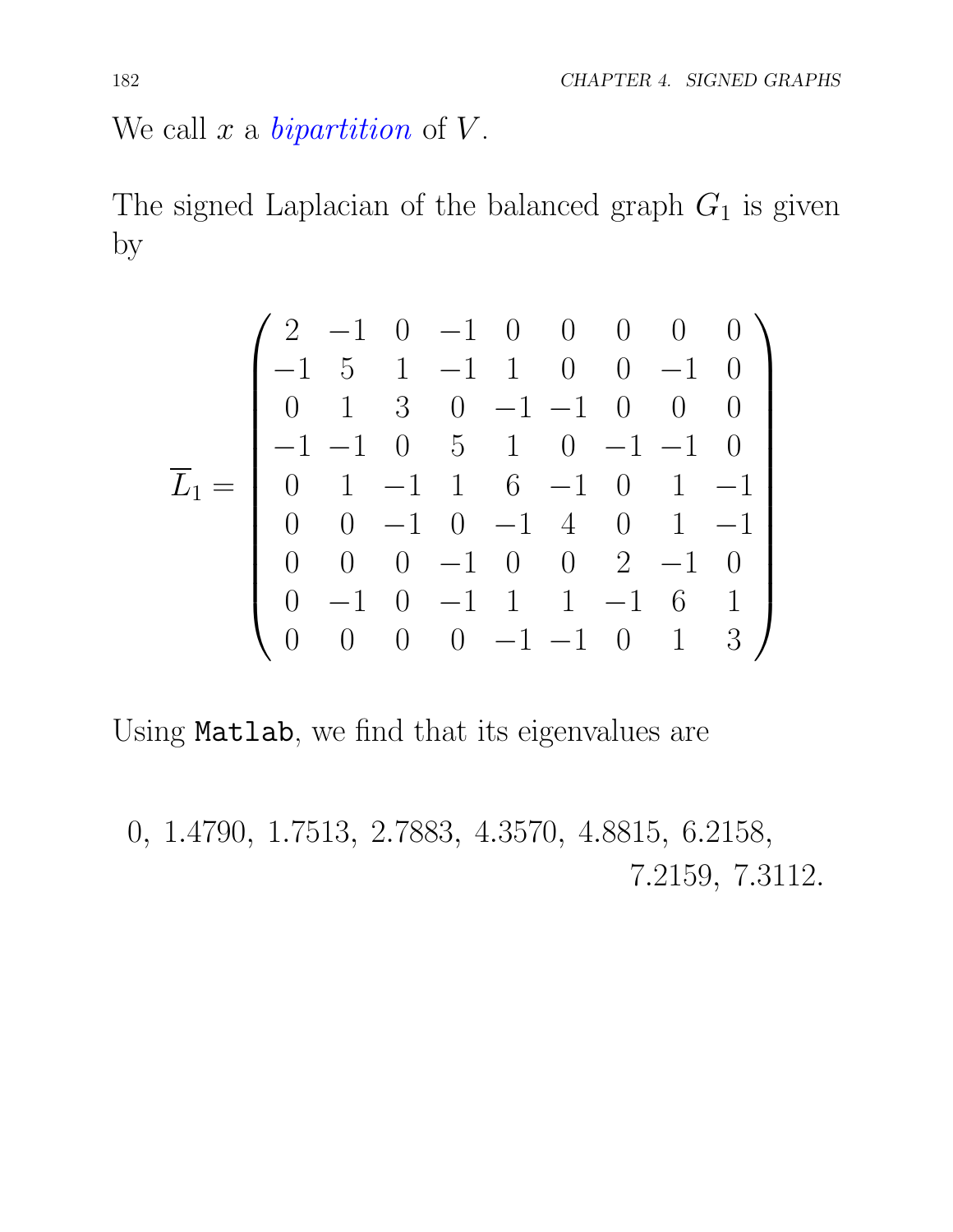We call *x* a *bipartition* of *V* .

The signed Laplacian of the balanced graph *G*<sup>1</sup> is given by

$$
\overline{L}_1 = \begin{pmatrix}\n2 & -1 & 0 & -1 & 0 & 0 & 0 & 0 & 0 \\
-1 & 5 & 1 & -1 & 1 & 0 & 0 & -1 & 0 \\
0 & 1 & 3 & 0 & -1 & -1 & 0 & 0 & 0 \\
-1 & -1 & 0 & 5 & 1 & 0 & -1 & -1 & 0 \\
0 & 1 & -1 & 1 & 6 & -1 & 0 & 1 & -1 \\
0 & 0 & -1 & 0 & -1 & 4 & 0 & 1 & -1 \\
0 & 0 & 0 & -1 & 0 & 0 & 2 & -1 & 0 \\
0 & -1 & 0 & -1 & 1 & 1 & -1 & 6 & 1 \\
0 & 0 & 0 & 0 & -1 & -1 & 0 & 1 & 3\n\end{pmatrix}
$$

Using Matlab, we find that its eigenvalues are

0*,* 1*.*4790*,* 1*.*7513*,* 2*.*7883*,* 4*.*3570*,* 4*.*8815*,* 6*.*2158*,* 7*.*2159*,* 7*.*3112*.*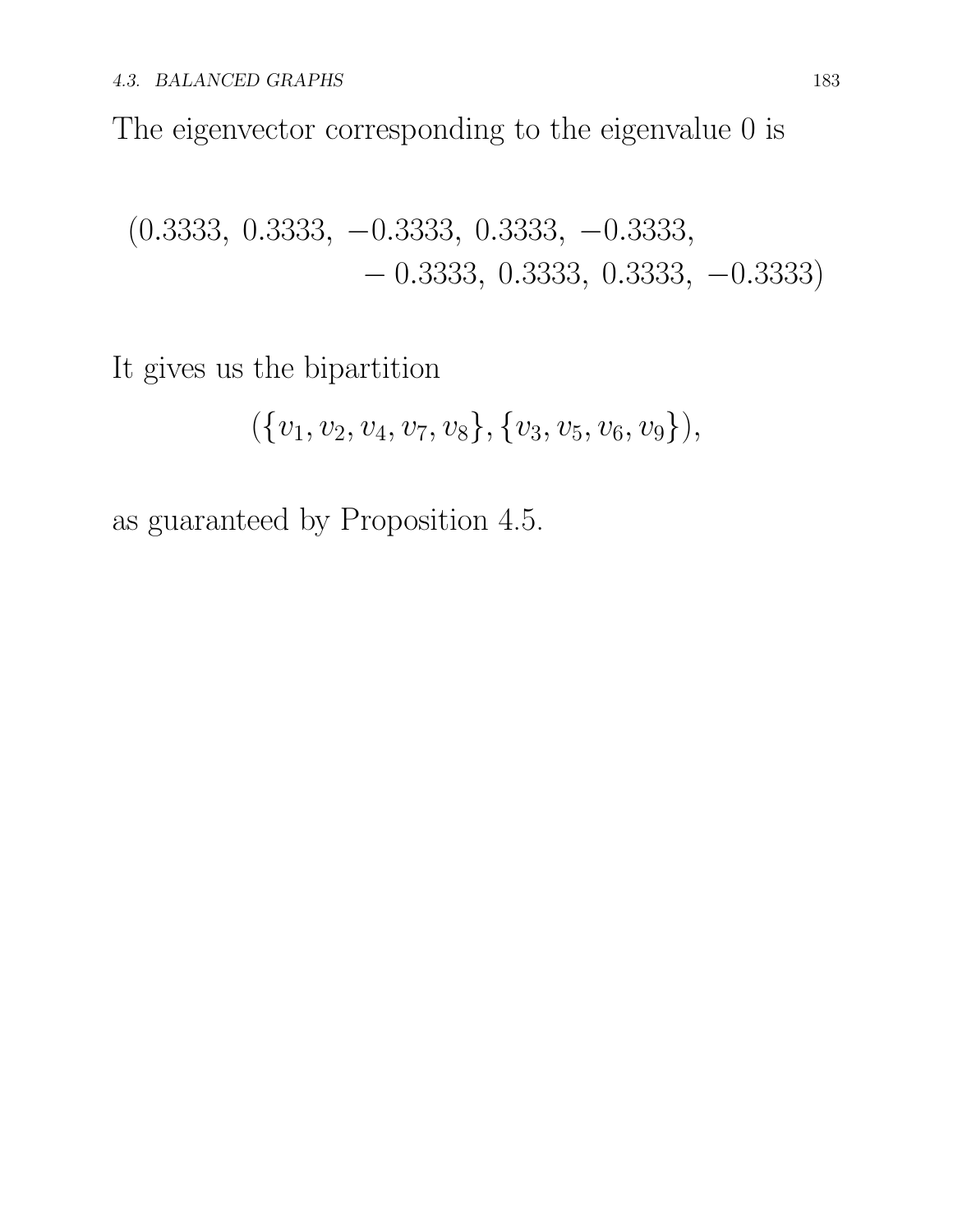The eigenvector corresponding to the eigenvalue 0 is

(0*.*3333*,* 0*.*3333*,* 0*.*3333*,* 0*.*3333*,* 0*.*3333*,* 0*.*3333*,* 0*.*3333*,* 0*.*3333*,* 0*.*3333)

It gives us the bipartition

$$
(\{v_1,v_2,v_4,v_7,v_8\},\{v_3,v_5,v_6,v_9\}),
$$

as guaranteed by Proposition 4.5.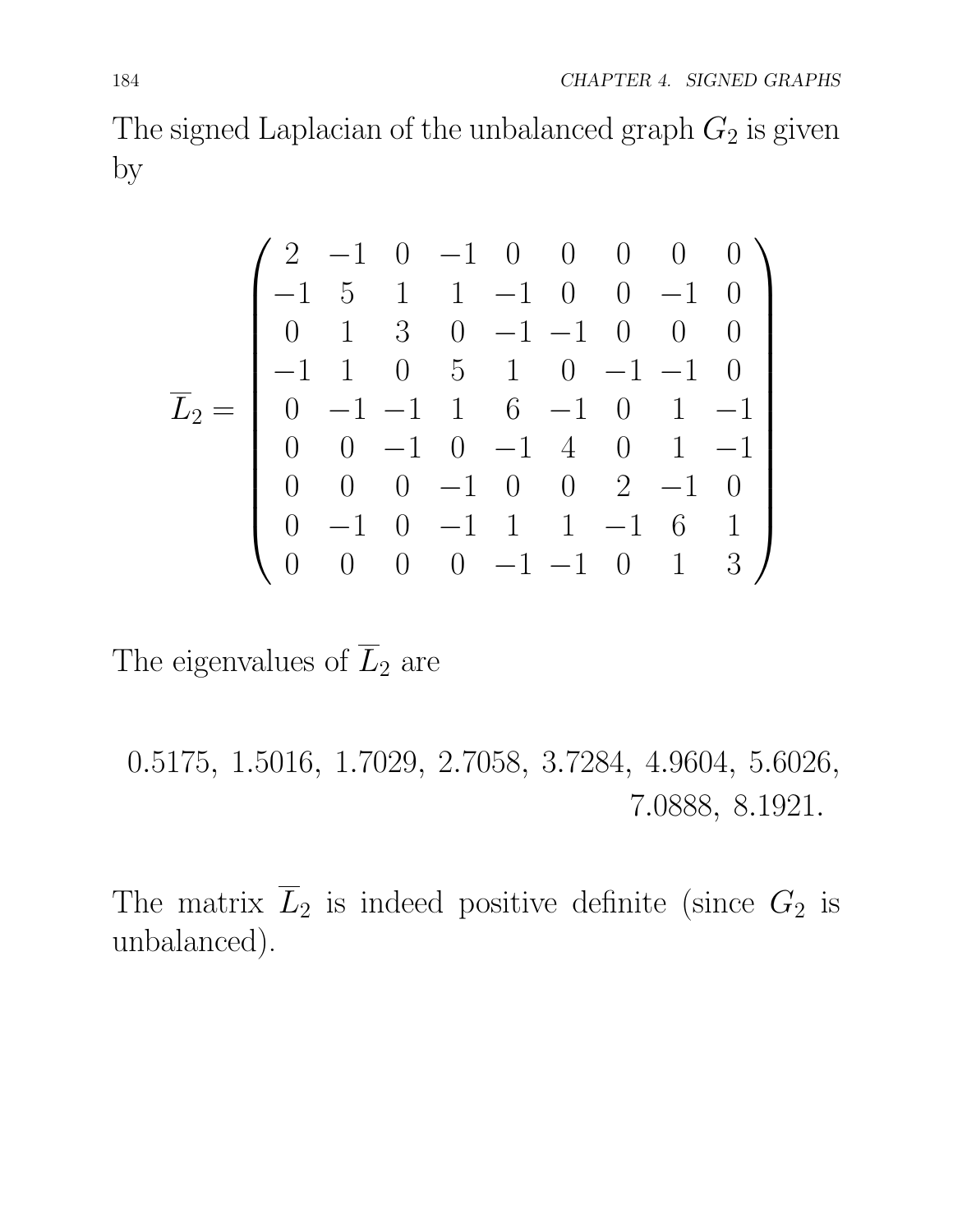The signed Laplacian of the unbalanced graph  $G_2$  is given by

$$
\overline{L}_2 = \begin{pmatrix}\n2 & -1 & 0 & -1 & 0 & 0 & 0 & 0 & 0 \\
-1 & 5 & 1 & 1 & -1 & 0 & 0 & -1 & 0 \\
0 & 1 & 3 & 0 & -1 & -1 & 0 & 0 & 0 \\
-1 & 1 & 0 & 5 & 1 & 0 & -1 & -1 & 0 \\
0 & -1 & -1 & 1 & 6 & -1 & 0 & 1 & -1 \\
0 & 0 & -1 & 0 & -1 & 4 & 0 & 1 & -1 \\
0 & -1 & 0 & -1 & 1 & 1 & -1 & 6 & 1 \\
0 & -1 & 0 & -1 & 1 & 1 & -1 & 6 & 1 \\
0 & 0 & 0 & 0 & -1 & -1 & 0 & 1 & 3\n\end{pmatrix}
$$

The eigenvalues of  $\overline{L}_2$  are

0*.*5175*,* 1*.*5016*,* 1*.*7029*,* 2*.*7058*,* 3*.*7284*,* 4*.*9604*,* 5*.*6026*,* 7*.*0888*,* 8*.*1921*.*

The matrix  $\overline{L}_2$  is indeed positive definite (since  $G_2$  is unbalanced).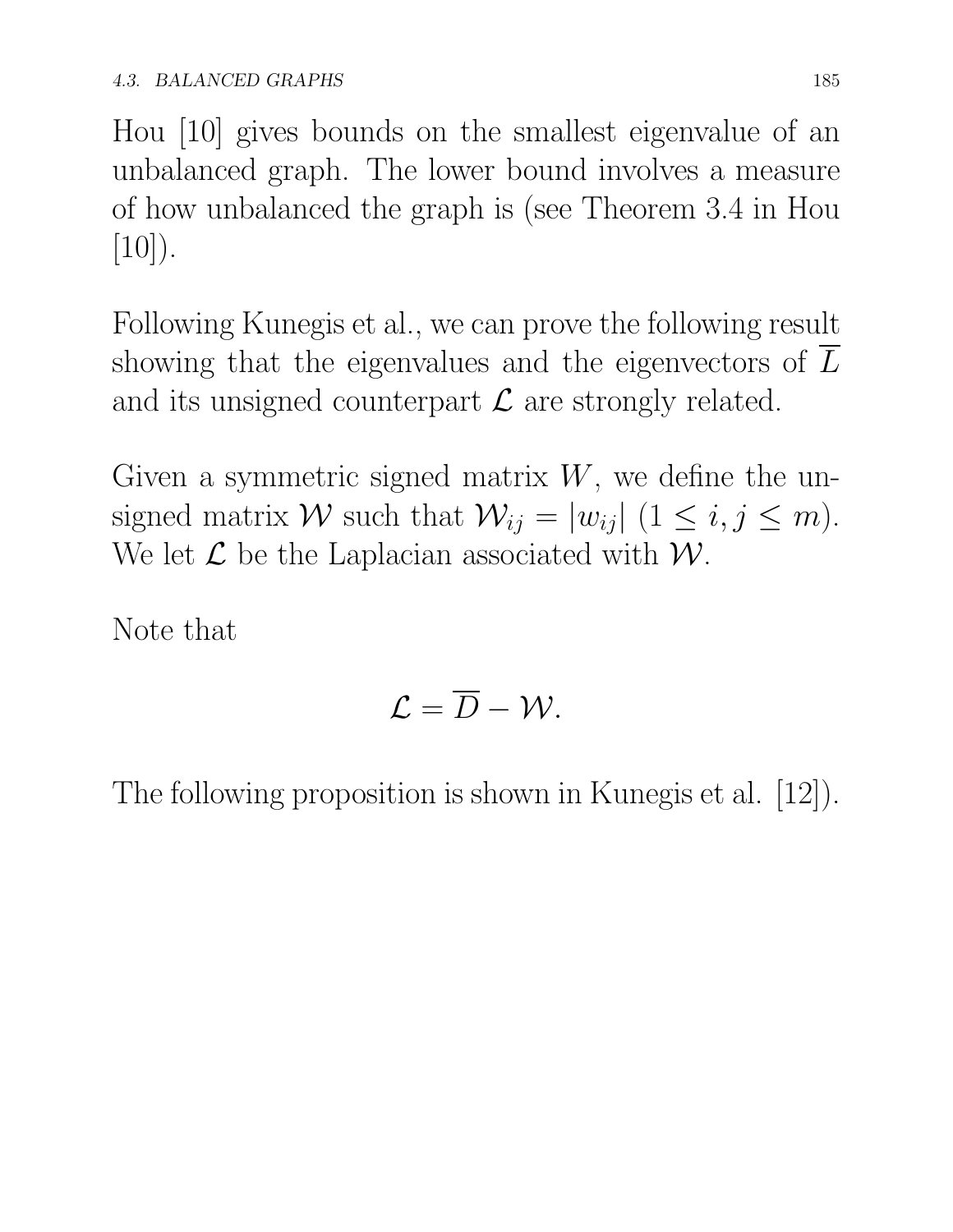Hou [10] gives bounds on the smallest eigenvalue of an unbalanced graph. The lower bound involves a measure of how unbalanced the graph is (see Theorem 3.4 in Hou  $[10]$ .

Following Kunegis et al., we can prove the following result showing that the eigenvalues and the eigenvectors of  $\overline{L}$ and its unsigned counterpart *L* are strongly related.

Given a symmetric signed matrix *W*, we define the unsigned matrix *W* such that  $W_{ij} = |w_{ij}| (1 \le i, j \le m)$ . We let  $\mathcal L$  be the Laplacian associated with  $\mathcal W$ .

Note that

$$
\mathcal{L}=\overline{D}-\mathcal{W}.
$$

The following proposition is shown in Kunegis et al. [12]).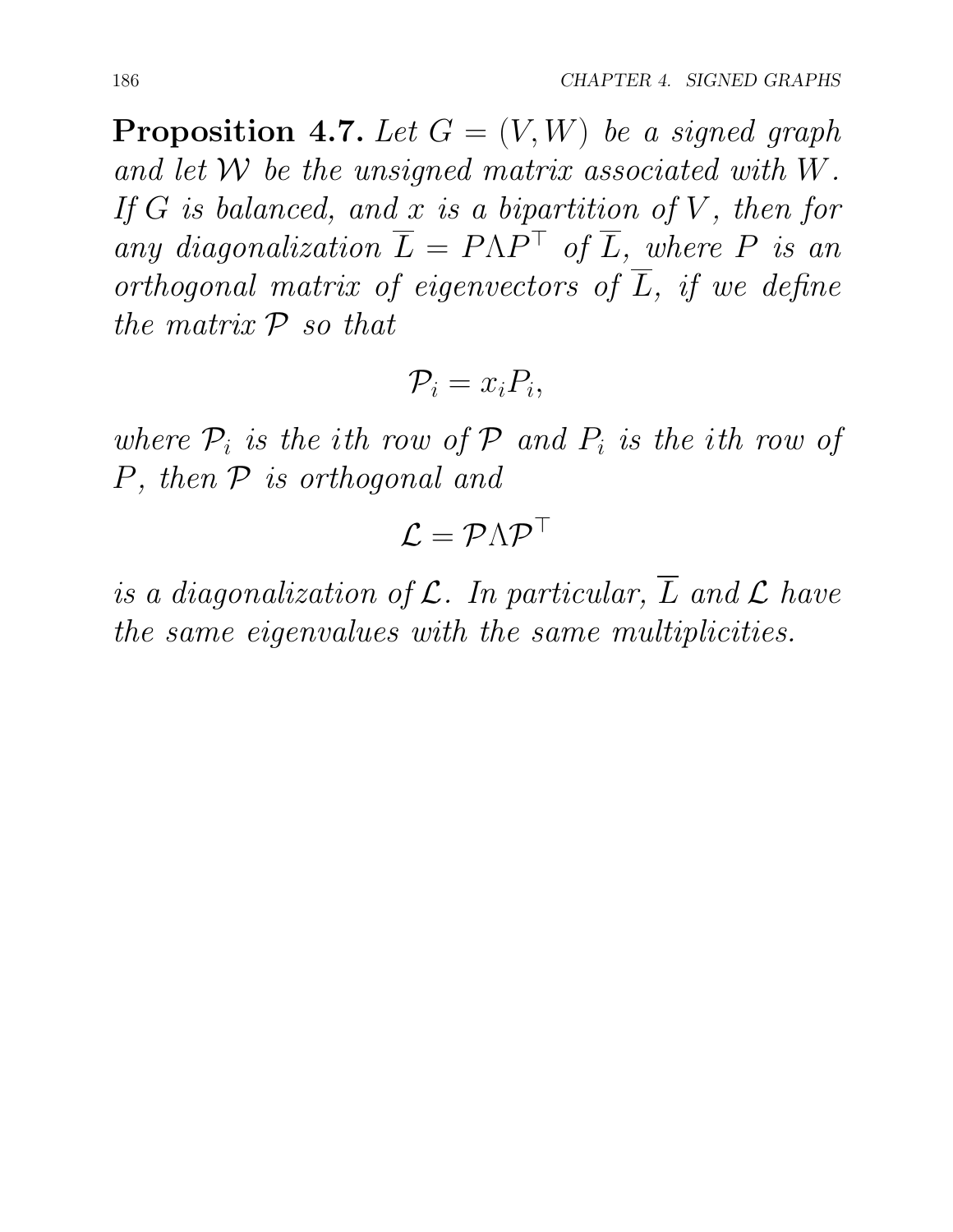**Proposition 4.7.** Let  $G = (V, W)$  be a signed graph *and let W be the unsigned matrix associated with W. If G is balanced, and x is a bipartition of V , then for* any diagonalization  $\overline{L} = P\Lambda P^{\top}$  of  $\overline{L}$ *, where*  $P$  *is an orthogonal matrix of eigenvectors of L, if we define the matrix P so that*

$$
\mathcal{P}_i = x_i P_i,
$$

*where*  $P_i$  *is the ith row of*  $P$  *and*  $P_i$  *is the ith row of P, then P is orthogonal and*

$$
\mathcal{L} = \mathcal{P} \Lambda \mathcal{P}^{\top}
$$

*is a diagonalization of*  $\mathcal{L}$ *. In particular,*  $\overline{L}$  *and*  $\mathcal{L}$  *have the same eigenvalues with the same multiplicities.*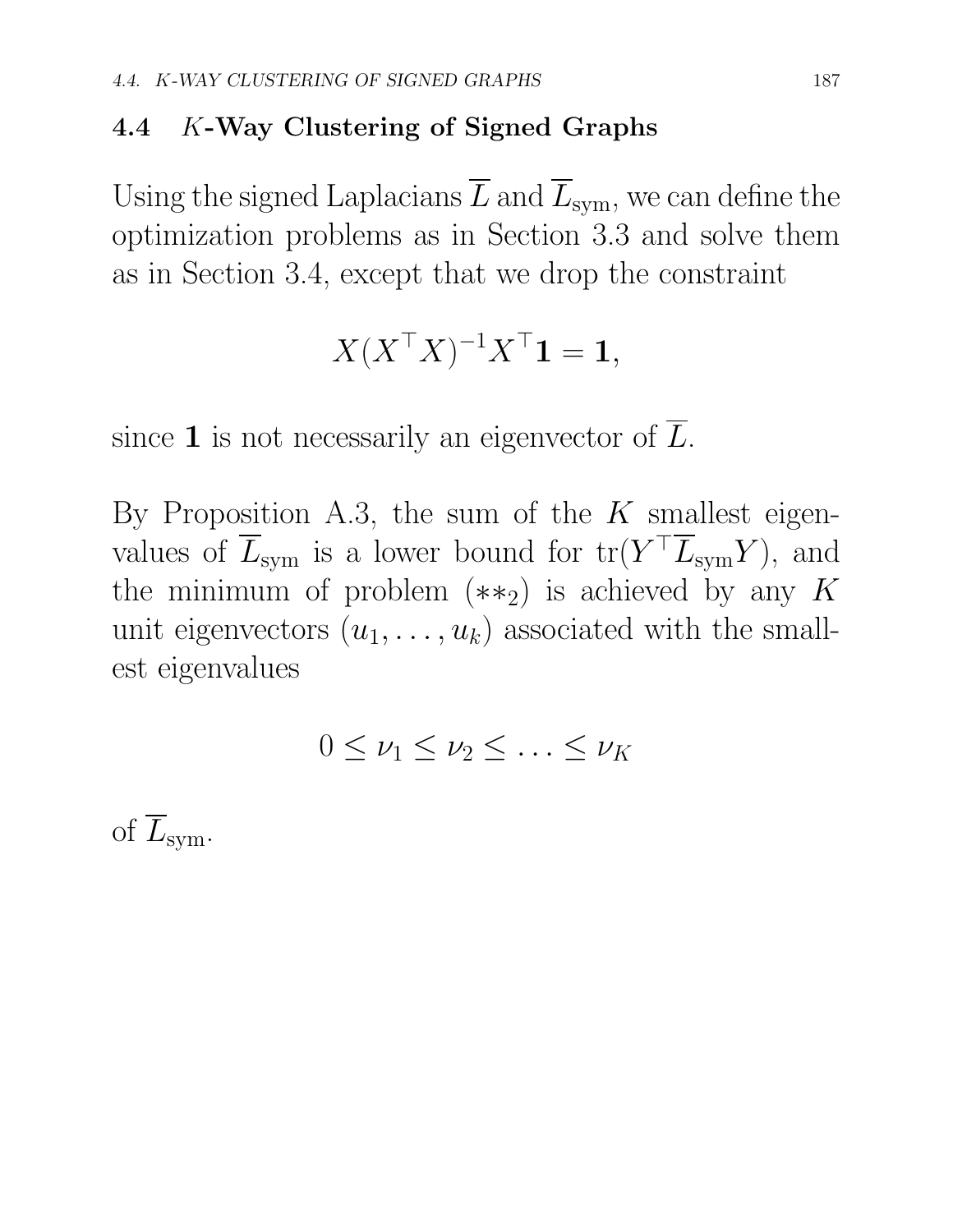### 4.4 *K*-Way Clustering of Signed Graphs

Using the signed Laplacians  $\overline{L}$  and  $\overline{L}_{sym}$ , we can define the optimization problems as in Section 3.3 and solve them as in Section 3.4, except that we drop the constraint

$$
X(X^{\top}X)^{-1}X^{\top}\mathbf{1} = \mathbf{1},
$$

since 1 is not necessarily an eigenvector of  $\overline{L}$ .

By Proposition A.3, the sum of the *K* smallest eigenvalues of  $\overline{L}_{sym}$  is a lower bound for  $tr(Y^{\top} \overline{L}_{sym} Y)$ , and the minimum of problem  $(**_2)$  is achieved by any K unit eigenvectors  $(u_1, \ldots, u_k)$  associated with the smallest eigenvalues

$$
0\leq \nu_1\leq \nu_2\leq \ldots\leq \nu_K
$$

of  $\overline{L}_{sym}$ .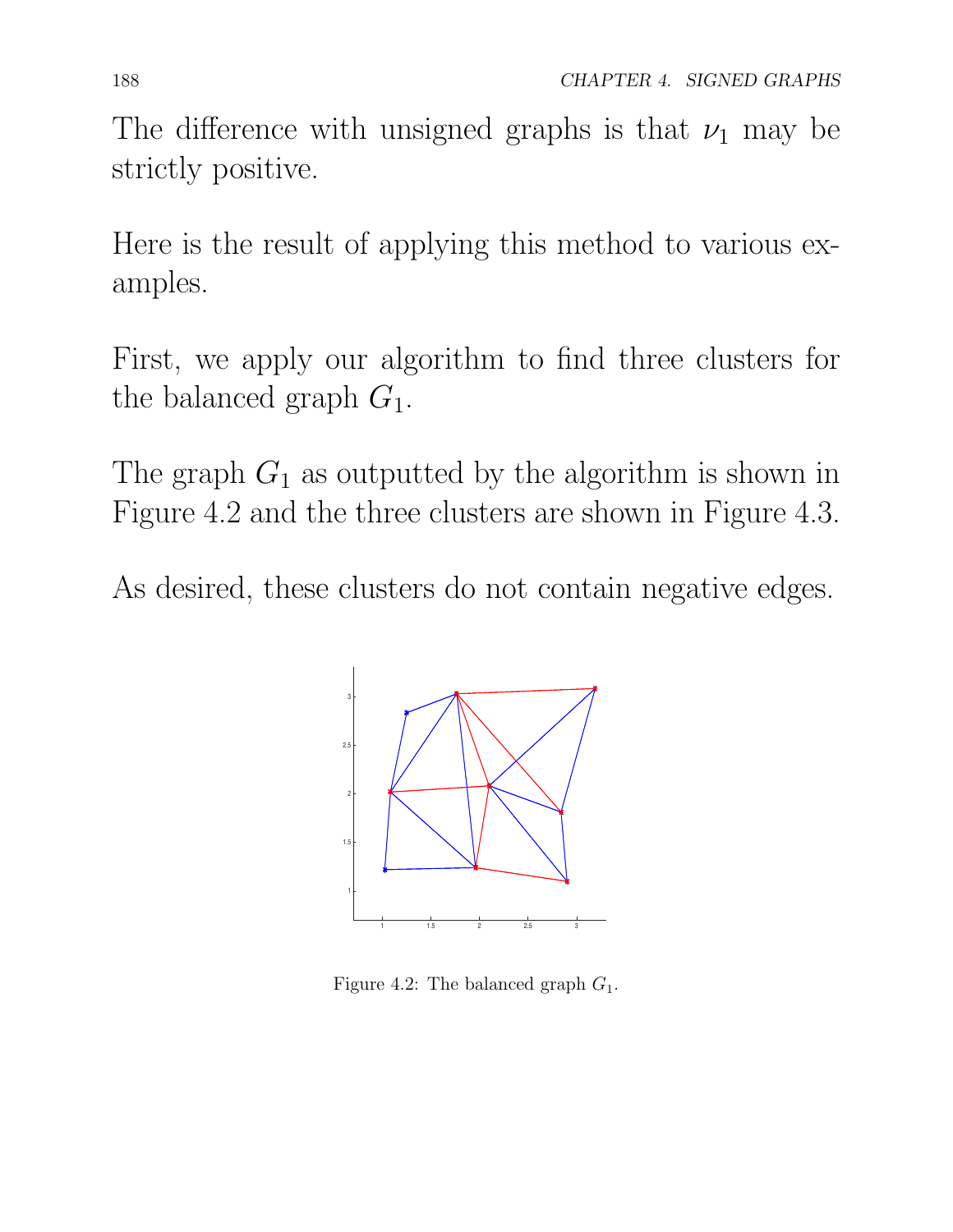The difference with unsigned graphs is that  $\nu_1$  may be strictly positive.

Here is the result of applying this method to various examples.

First, we apply our algorithm to find three clusters for the balanced graph *G*1.

The graph  $G_1$  as outputted by the algorithm is shown in Figure 4.2 and the three clusters are shown in Figure 4.3.

As desired, these clusters do not contain negative edges.



Figure 4.2: The balanced graph  $G_1$ .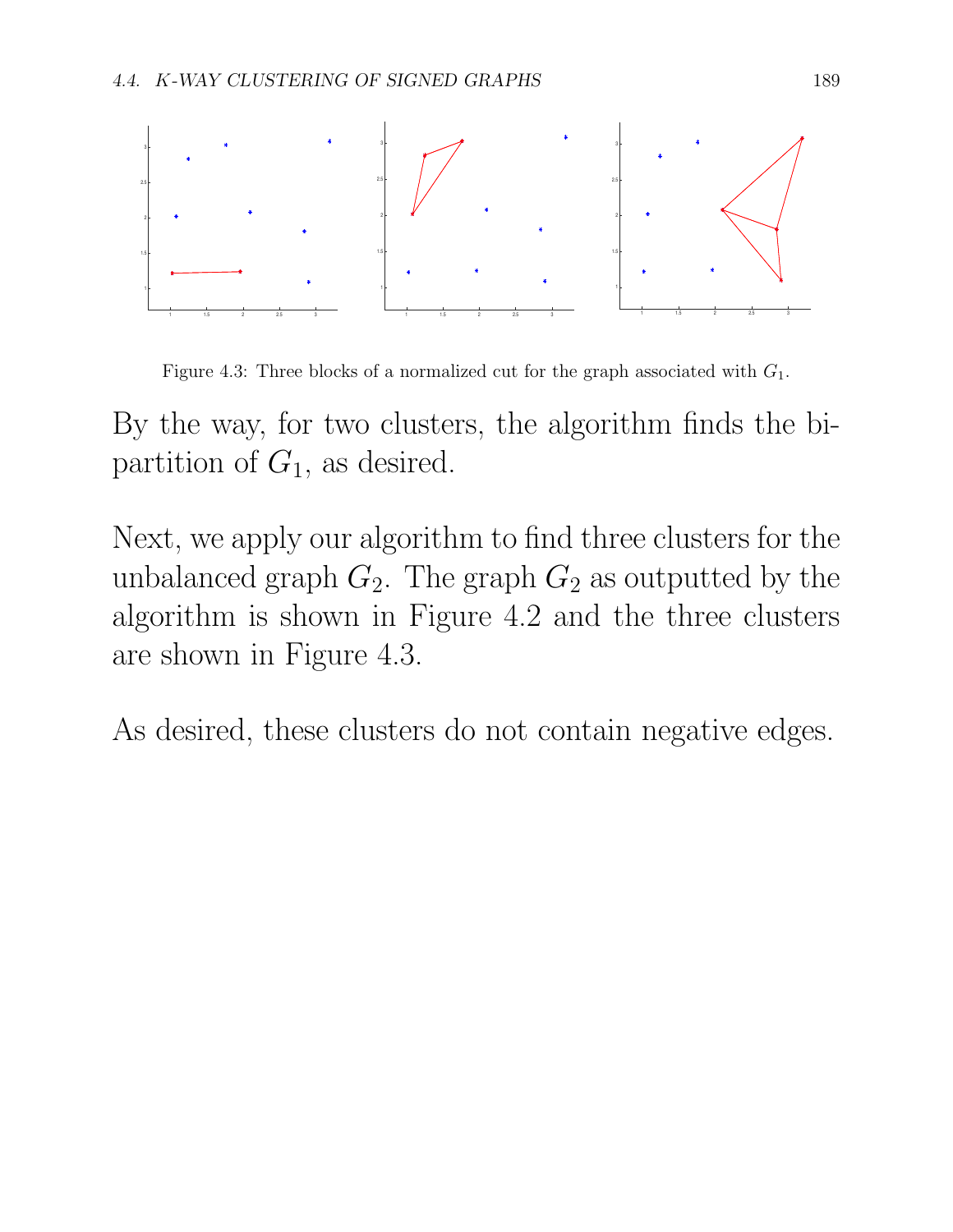

Figure 4.3: Three blocks of a normalized cut for the graph associated with *G*1.

By the way, for two clusters, the algorithm finds the bipartition of *G*1, as desired.

Next, we apply our algorithm to find three clusters for the unbalanced graph  $G_2$ . The graph  $G_2$  as outputted by the algorithm is shown in Figure 4.2 and the three clusters are shown in Figure 4.3.

As desired, these clusters do not contain negative edges.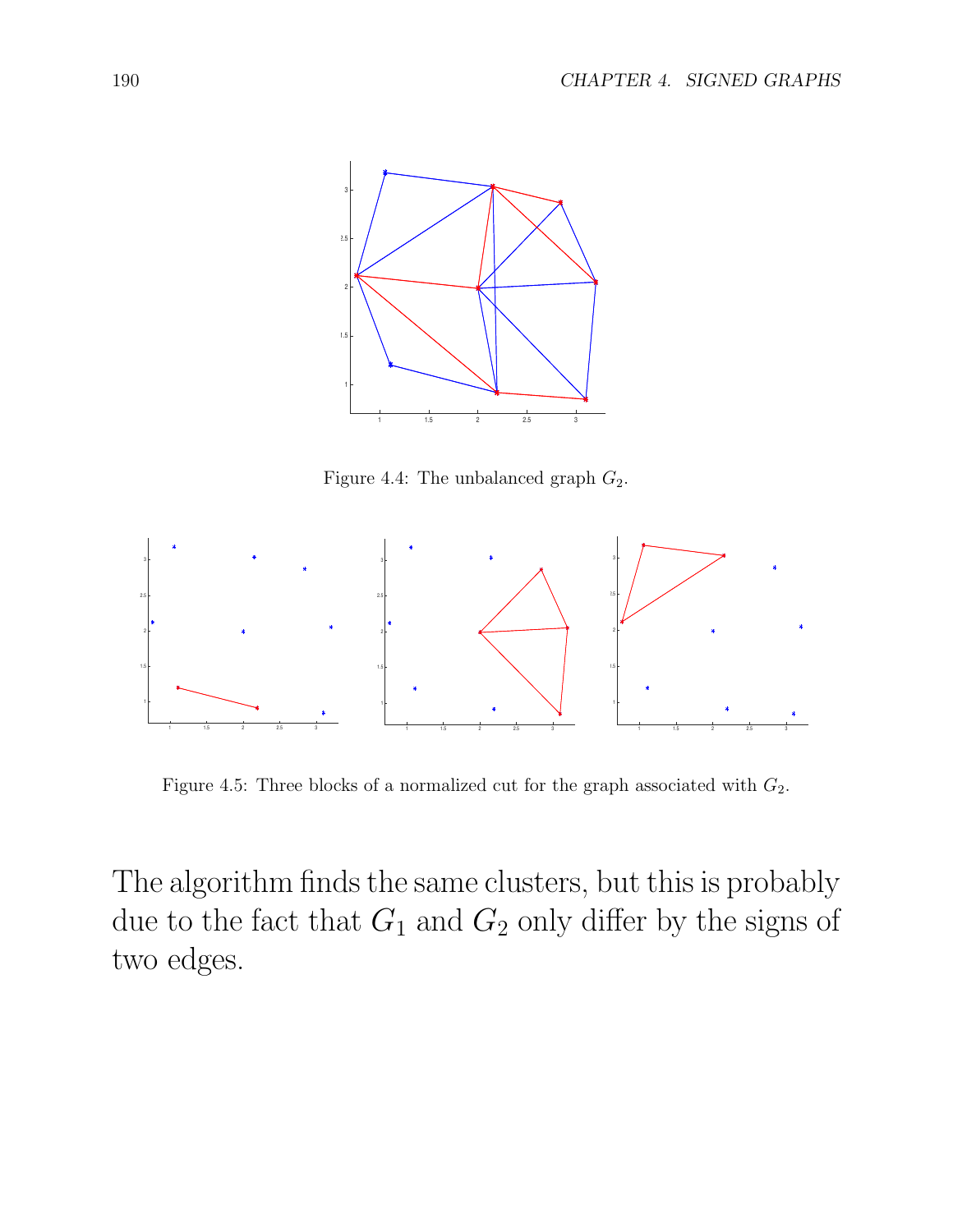

Figure 4.4: The unbalanced graph  $G_2$ .



Figure 4.5: Three blocks of a normalized cut for the graph associated with  $G_2$ .

The algorithm finds the same clusters, but this is probably due to the fact that  $G_1$  and  $G_2$  only differ by the signs of two edges.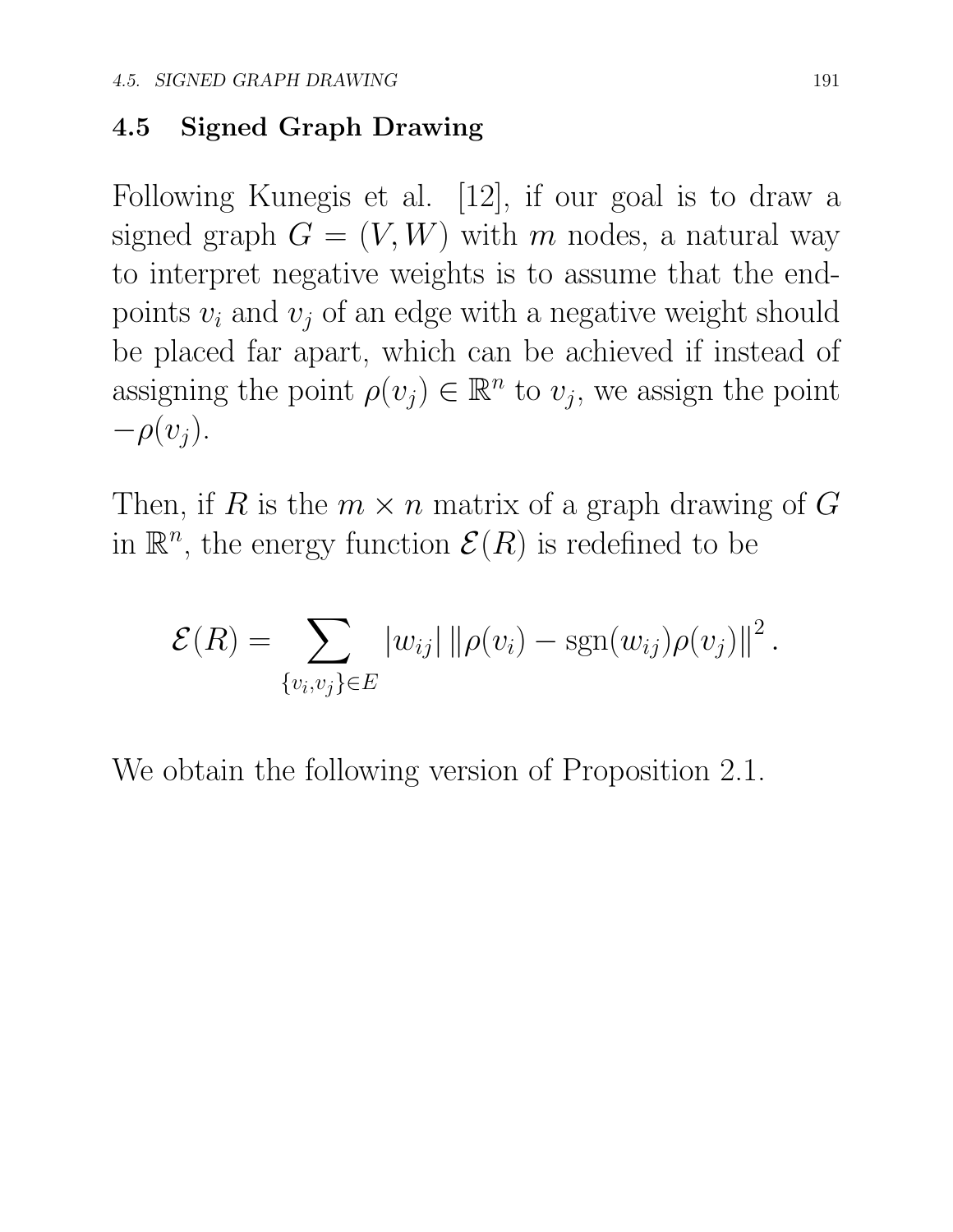#### 4.5 Signed Graph Drawing

Following Kunegis et al. [12], if our goal is to draw a signed graph  $G = (V, W)$  with *m* nodes, a natural way to interpret negative weights is to assume that the endpoints  $v_i$  and  $v_j$  of an edge with a negative weight should be placed far apart, which can be achieved if instead of assigning the point  $\rho(v_j) \in \mathbb{R}^n$  to  $v_j$ , we assign the point  $-\rho(v_i)$ .

Then, if *R* is the  $m \times n$  matrix of a graph drawing of *G* in  $\mathbb{R}^n$ , the energy function  $\mathcal{E}(R)$  is redefined to be

$$
\mathcal{E}(R) = \sum_{\{v_i, v_j\} \in E} |w_{ij}| ||\rho(v_i) - \text{sgn}(w_{ij})\rho(v_j)||^2.
$$

We obtain the following version of Proposition 2.1.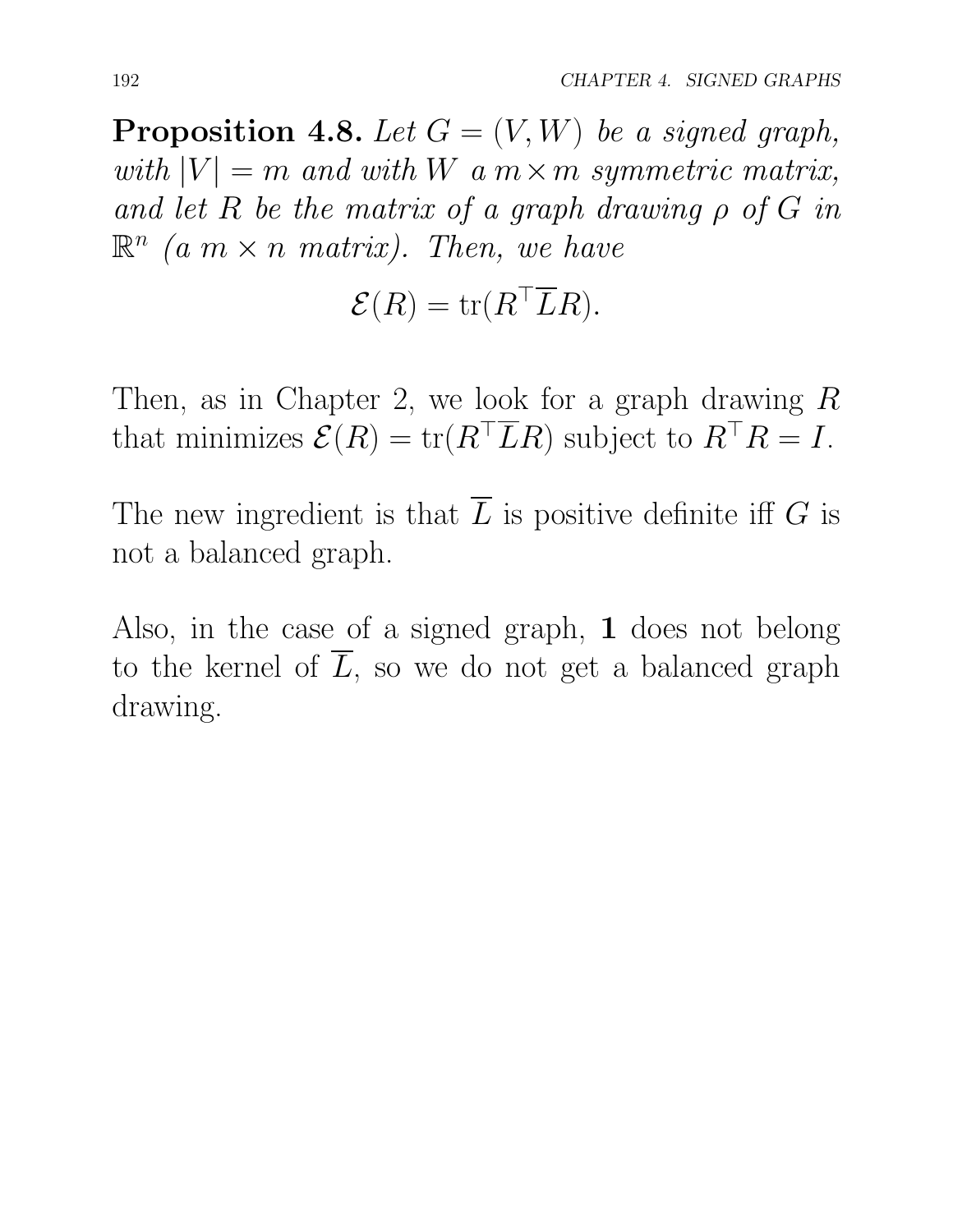**Proposition 4.8.** Let  $G = (V, W)$  be a signed graph, *with*  $|V| = m$  *and with*  $W$  *a*  $m \times m$  *symmetric matrix,* and let  $R$  be the matrix of a graph drawing  $\rho$  of  $G$  in  $\mathbb{R}^n$  *(a*  $m \times n$  *matrix). Then, we have* 

$$
\mathcal{E}(R) = \text{tr}(R^\top \overline{L}R).
$$

Then, as in Chapter 2, we look for a graph drawing *R* that minimizes  $\mathcal{E}(R) = \text{tr}(R^{\top}LR)$  subject to  $R^{\top}R = I$ .

The new ingredient is that  $\overline{L}$  is positive definite iff  $G$  is not a balanced graph.

Also, in the case of a signed graph, 1 does not belong to the kernel of  $\overline{L}$ , so we do not get a balanced graph drawing.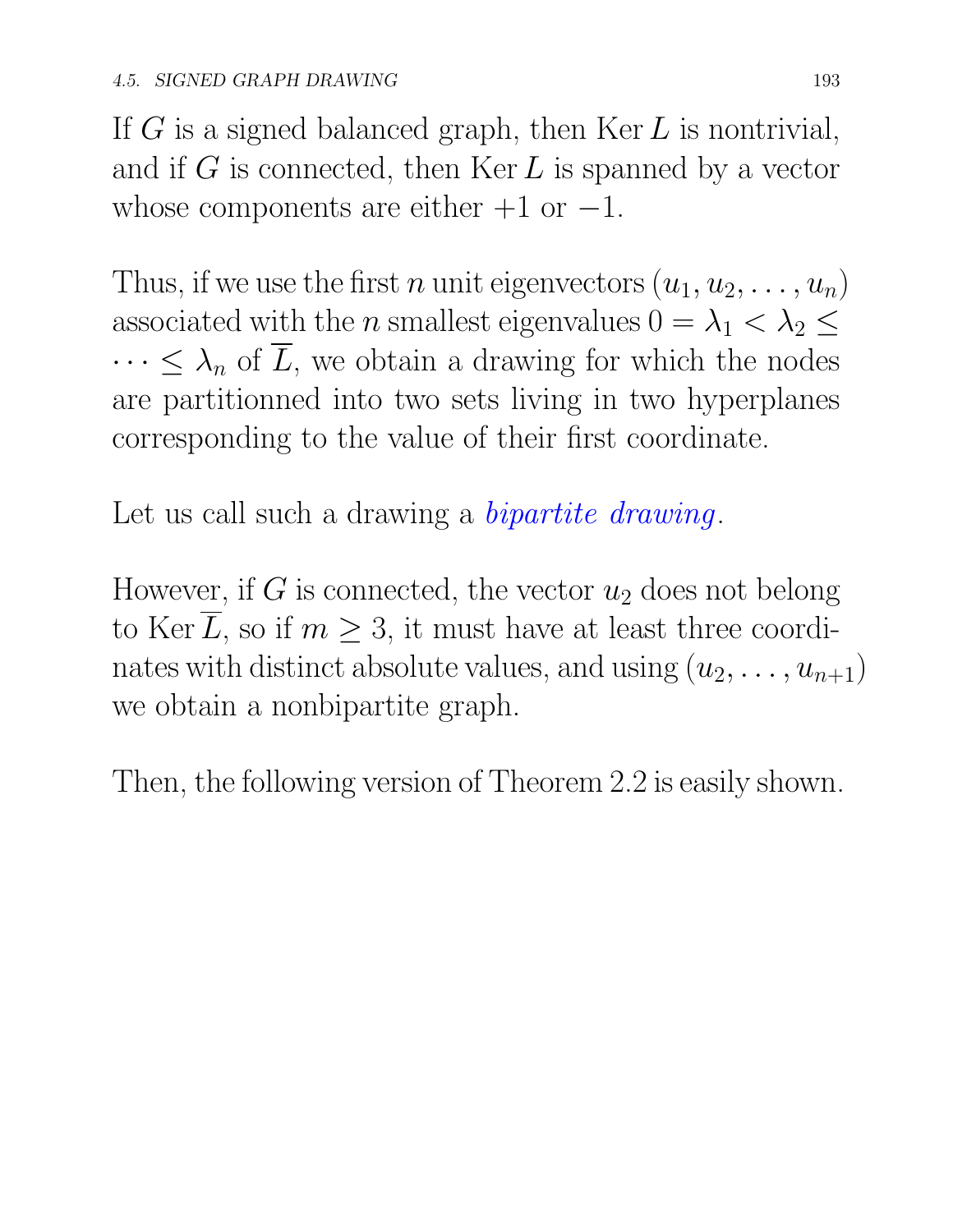If *G* is a signed balanced graph, then Ker *L* is nontrivial, and if *G* is connected, then Ker *L* is spanned by a vector whose components are either  $+1$  or  $-1$ .

Thus, if we use the first *n* unit eigenvectors  $(u_1, u_2, \ldots, u_n)$ associated with the *n* smallest eigenvalues  $0 = \lambda_1 < \lambda_2 \leq$  $\cdots \leq \lambda_n$  of  $\overline{L}$ , we obtain a drawing for which the nodes are partitionned into two sets living in two hyperplanes corresponding to the value of their first coordinate.

Let us call such a drawing a *bipartite drawing*.

However, if  $G$  is connected, the vector  $u_2$  does not belong to Ker  $\overline{L}$ , so if  $m \geq 3$ , it must have at least three coordinates with distinct absolute values, and using  $(u_2, \ldots, u_{n+1})$ we obtain a nonbipartite graph.

Then, the following version of Theorem 2.2 is easily shown.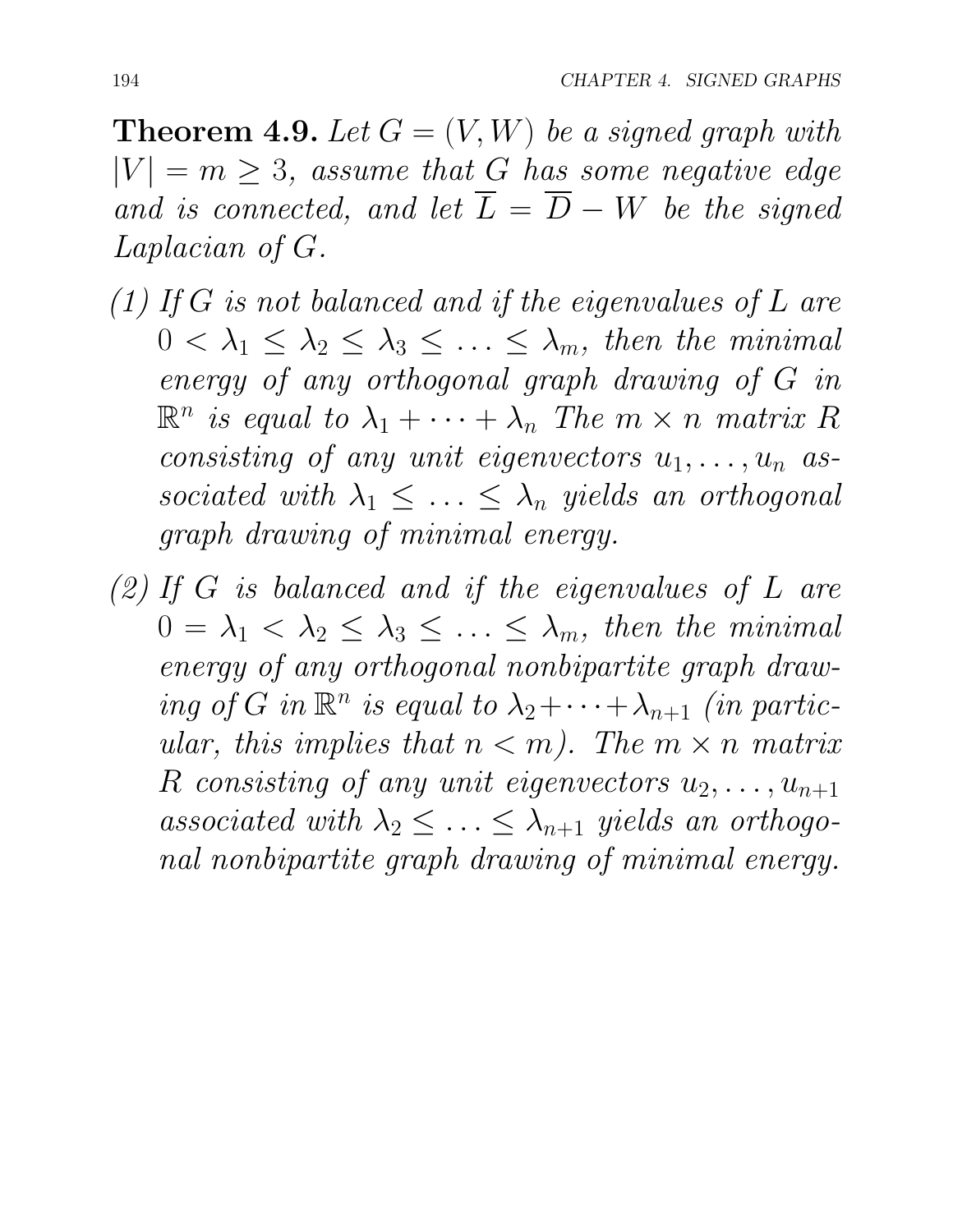**Theorem 4.9.** Let  $G = (V, W)$  be a signed graph with  $|V| = m \geq 3$ , *assume that G has some negative edge* and is connected, and let  $\overline{L} = \overline{D} - W$  be the signed *Laplacian of G.*

- *(1) If G is not balanced and if the eigenvalues of L are*  $0 < \lambda_1 \leq \lambda_2 \leq \lambda_3 \leq \ldots \leq \lambda_m$ , then the minimal *energy of any orthogonal graph drawing of G in*  $\mathbb{R}^n$  *is equal to*  $\lambda_1 + \cdots + \lambda_n$  *The*  $m \times n$  *matrix*  $R$ *consisting of any unit eigenvectors*  $u_1, \ldots, u_n$  *as*sociated with  $\lambda_1 \leq \ldots \leq \lambda_n$  yields an orthogonal *graph drawing of minimal energy.*
- *(2) If G is balanced and if the eigenvalues of L are*  $0 = \lambda_1 < \lambda_2 \leq \lambda_3 \leq \ldots \leq \lambda_m$ , then the minimal *energy of any orthogonal nonbipartite graph drawing of G in*  $\mathbb{R}^n$  *is equal to*  $\lambda_2 + \cdots + \lambda_{n+1}$  *(in particular, this implies that*  $n < m$ *). The*  $m \times n$  *matrix R consisting of any unit eigenvectors*  $u_2, \ldots, u_{n+1}$ associated with  $\lambda_2 \leq \ldots \leq \lambda_{n+1}$  yields an orthogo*nal nonbipartite graph drawing of minimal energy.*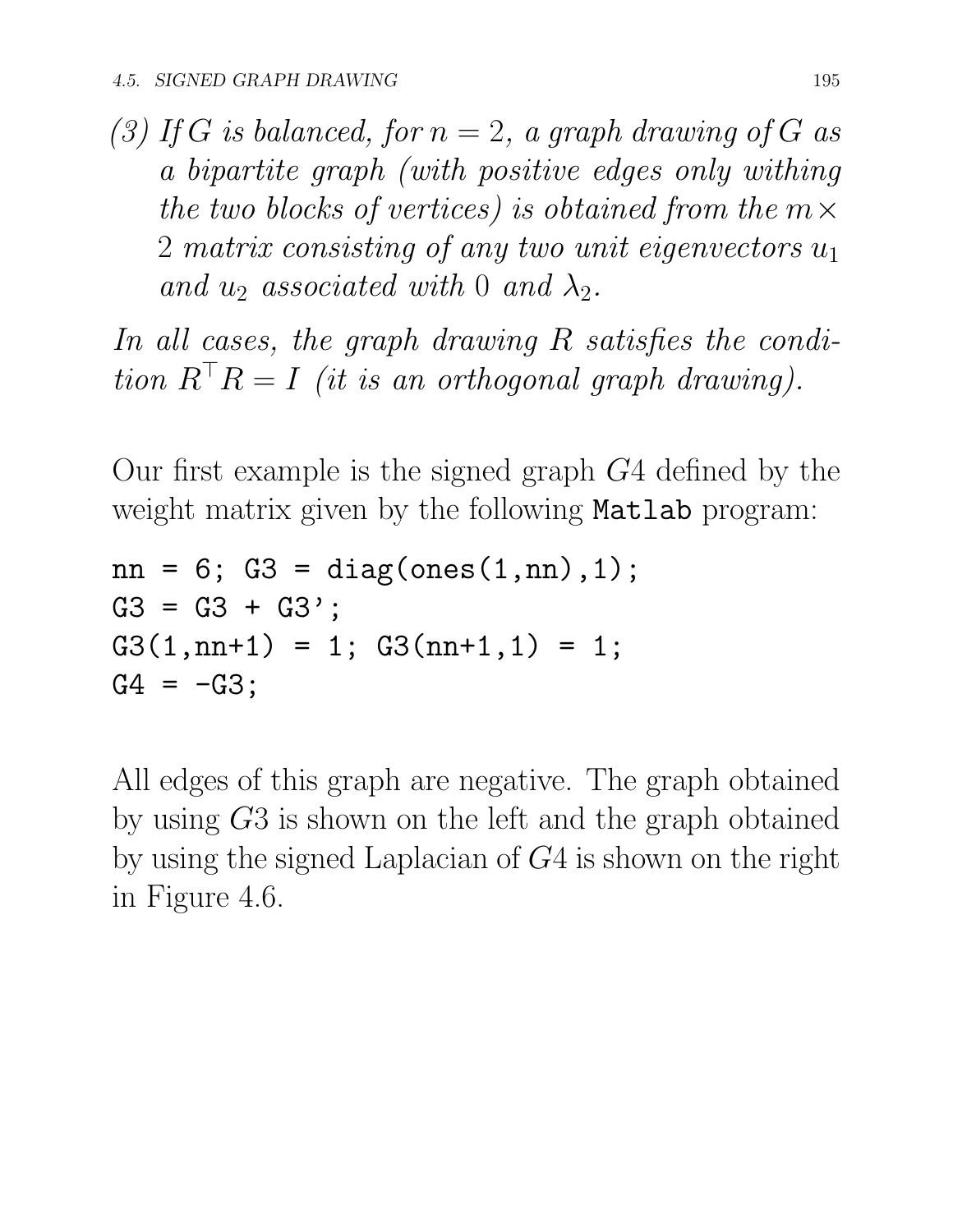(3) If G is balanced, for  $n = 2$ , a graph drawing of G as *a bipartite graph (with positive edges only withing the two blocks of vertices) is obtained from the*  $m \times$ 2 *matrix consisting of any two unit eigenvectors u*<sup>1</sup> *and*  $u_2$  *associated with* 0 *and*  $\lambda_2$ *.* 

*In all cases, the graph drawing R satisfies the condition*  $R^{\top}R = I$  *(it is an orthogonal graph drawing).* 

Our first example is the signed graph *G*4 defined by the weight matrix given by the following Matlab program:

```
nn = 6; G3 = diag(ones(1, nn), 1);
G3 = G3 + G3';
G3(1, nn+1) = 1; G3(nn+1, 1) = 1;
G4 = -G3;
```
All edges of this graph are negative. The graph obtained by using *G*3 is shown on the left and the graph obtained by using the signed Laplacian of *G*4 is shown on the right in Figure 4.6.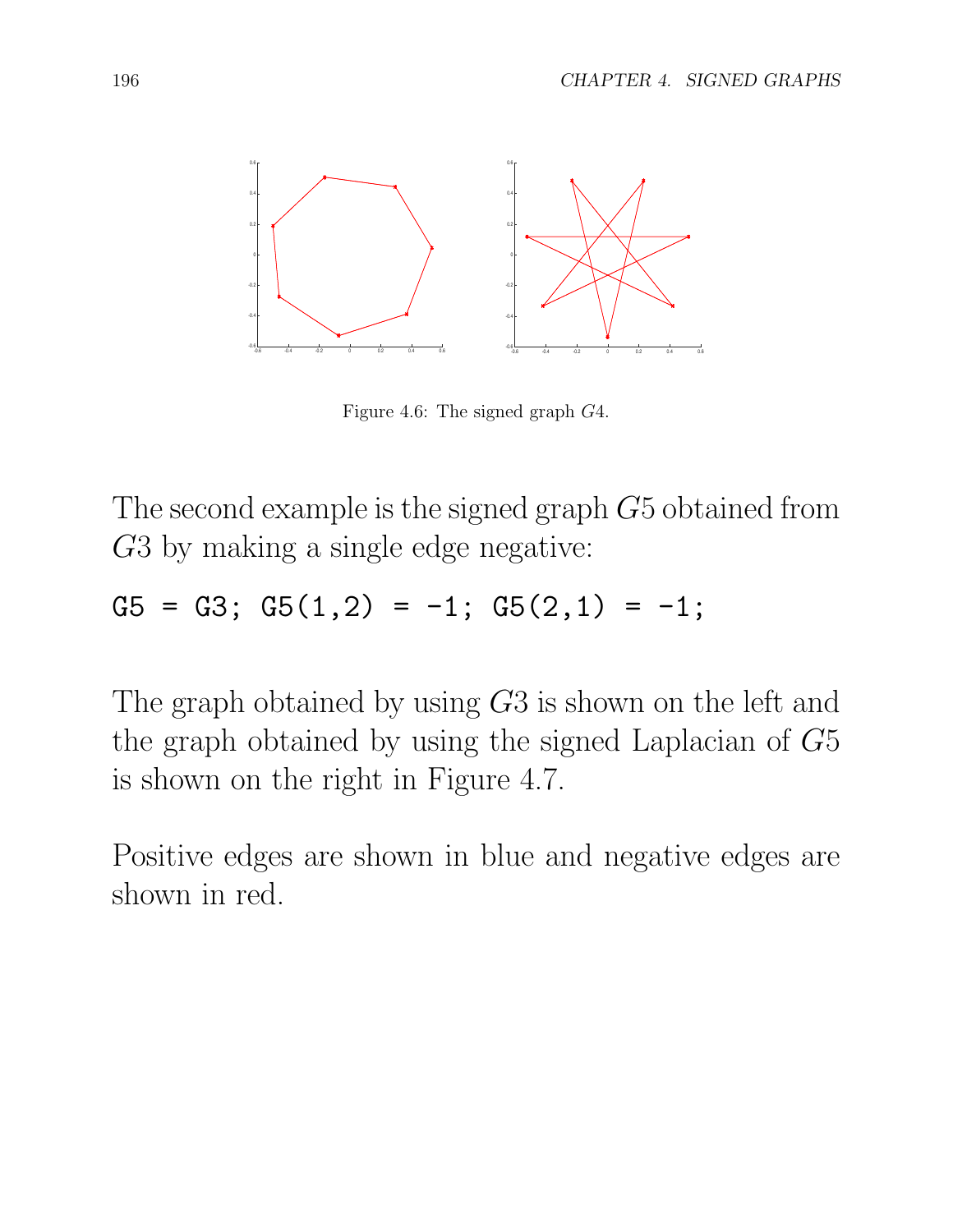

Figure 4.6: The signed graph *G*4.

The second example is the signed graph *G*5 obtained from *G*3 by making a single edge negative:

 $G5 = G3$ ;  $G5(1,2) = -1$ ;  $G5(2,1) = -1$ ;

The graph obtained by using *G*3 is shown on the left and the graph obtained by using the signed Laplacian of *G*5 is shown on the right in Figure 4.7.

Positive edges are shown in blue and negative edges are shown in red.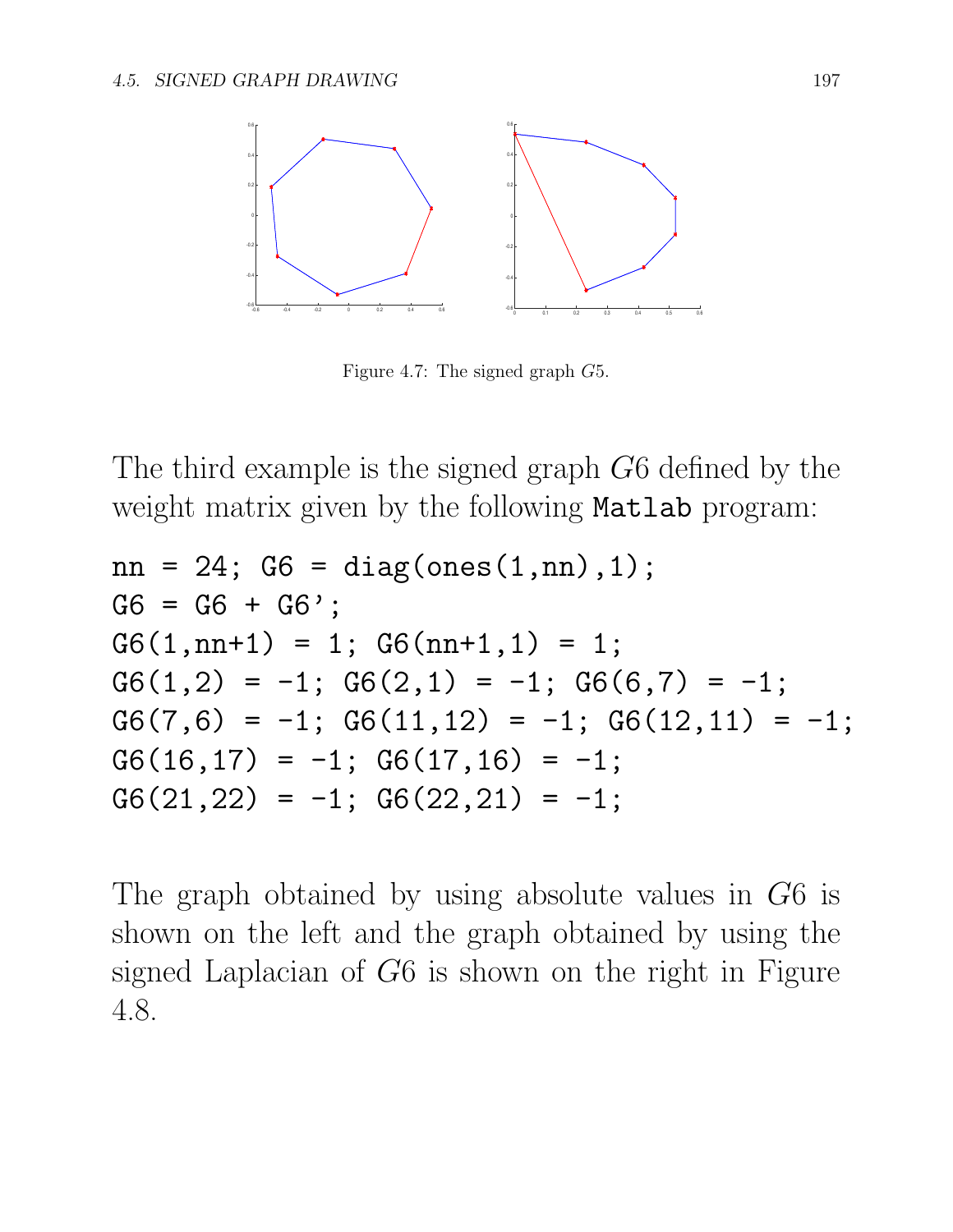

Figure 4.7: The signed graph *G*5.

The third example is the signed graph *G*6 defined by the weight matrix given by the following **Matlab** program:

```
nn = 24; G6 = diag(ones(1, nn), 1);
G6 = G6 + G6';
G6(1, nn+1) = 1; G6(nn+1, 1) = 1;
G6(1,2) = -1; G6(2,1) = -1; G6(6,7) = -1;
G6(7,6) = -1; G6(11,12) = -1; G6(12,11) = -1;
G6(16,17) = -1; G6(17,16) = -1;
G6(21,22) = -1; G6(22,21) = -1;
```
The graph obtained by using absolute values in *G*6 is shown on the left and the graph obtained by using the signed Laplacian of *G*6 is shown on the right in Figure 4.8.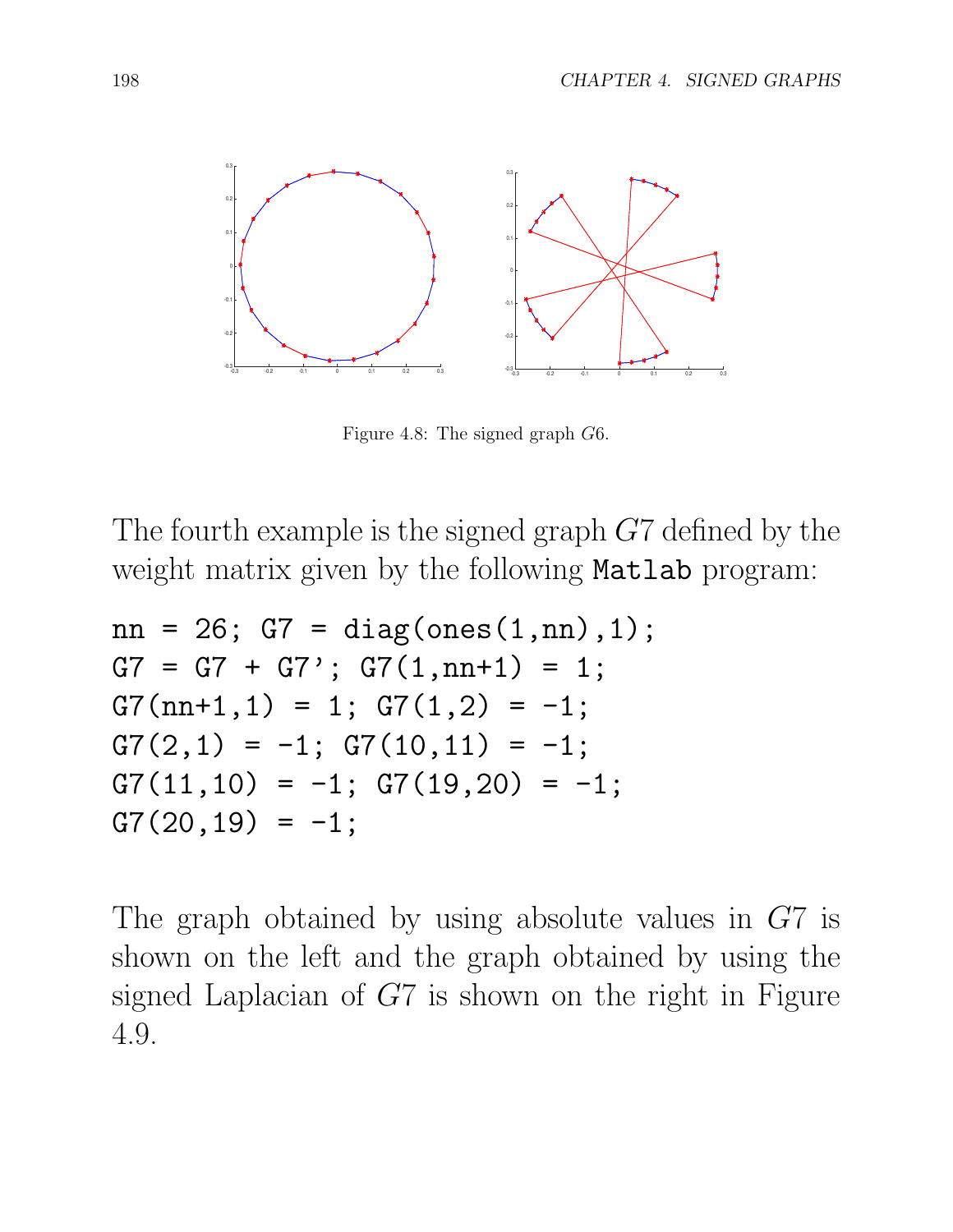

Figure 4.8: The signed graph *G*6.

The fourth example is the signed graph *G*7 defined by the weight matrix given by the following Matlab program:

```
nn = 26; G7 = diag(ones(1, nn), 1);
G7 = G7 + G7; G7(1, nn+1) = 1;
G7(nn+1,1) = 1; G7(1,2) = -1;
G7(2,1) = -1; G7(10,11) = -1;
G7(11,10) = -1; G7(19,20) = -1;
G7(20, 19) = -1;
```
The graph obtained by using absolute values in *G*7 is shown on the left and the graph obtained by using the signed Laplacian of *G*7 is shown on the right in Figure 4.9.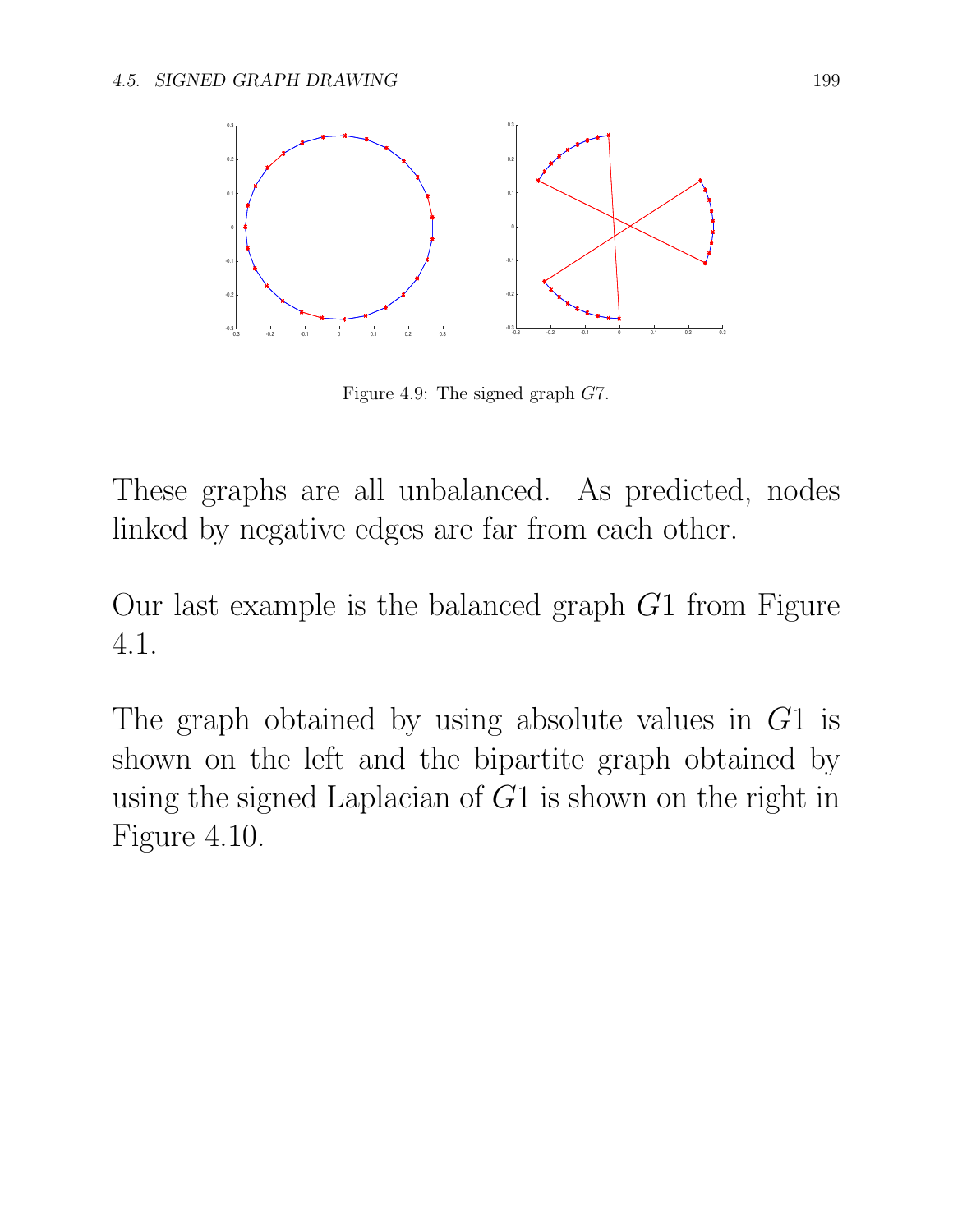

Figure 4.9: The signed graph *G*7.

These graphs are all unbalanced. As predicted, nodes linked by negative edges are far from each other.

Our last example is the balanced graph *G*1 from Figure 4.1.

The graph obtained by using absolute values in *G*1 is shown on the left and the bipartite graph obtained by using the signed Laplacian of *G*1 is shown on the right in Figure 4.10.